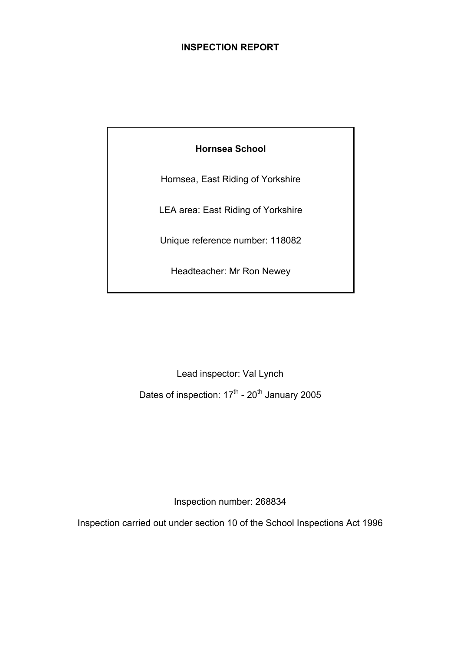# **INSPECTION REPORT**

**Hornsea School** 

Hornsea, East Riding of Yorkshire

LEA area: East Riding of Yorkshire

Unique reference number: 118082

Headteacher: Mr Ron Newey

Lead inspector: Val Lynch

Dates of inspection:  $17^{\text{th}}$  -  $20^{\text{th}}$  January 2005

Inspection number: 268834

Inspection carried out under section 10 of the School Inspections Act 1996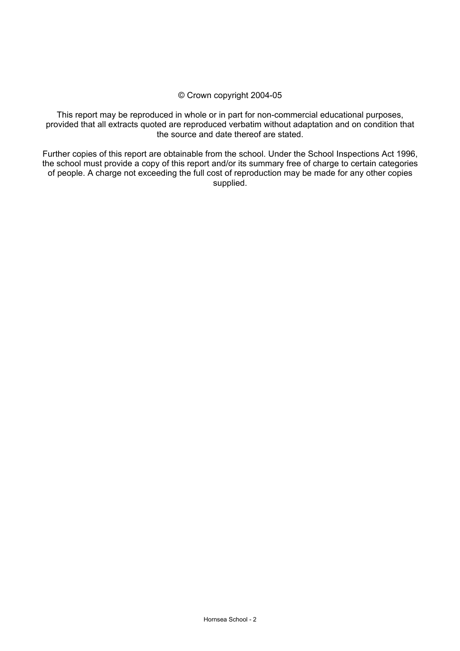#### © Crown copyright 2004-05

This report may be reproduced in whole or in part for non-commercial educational purposes, provided that all extracts quoted are reproduced verbatim without adaptation and on condition that the source and date thereof are stated.

Further copies of this report are obtainable from the school. Under the School Inspections Act 1996, the school must provide a copy of this report and/or its summary free of charge to certain categories of people. A charge not exceeding the full cost of reproduction may be made for any other copies supplied.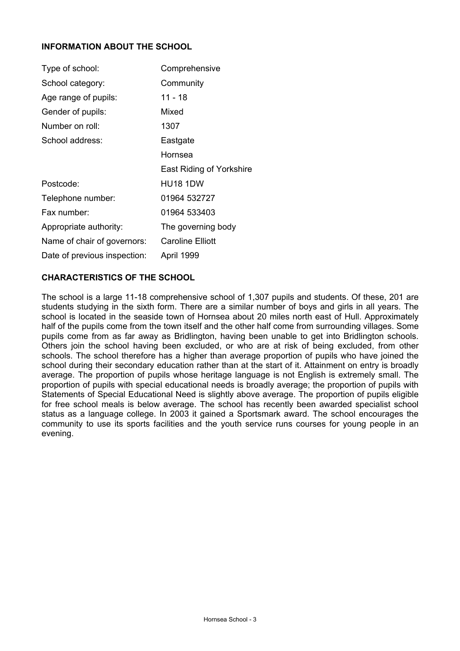# **INFORMATION ABOUT THE SCHOOL**

| Type of school:              | Comprehensive            |
|------------------------------|--------------------------|
| School category:             | Community                |
| Age range of pupils:         | 11 - 18                  |
| Gender of pupils:            | Mixed                    |
| Number on roll:              | 1307                     |
| School address:              | Eastgate                 |
|                              | Hornsea                  |
|                              | East Riding of Yorkshire |
| Postcode:                    | HU18 1DW                 |
| Telephone number:            | 01964 532727             |
| Fax number:                  | 01964 533403             |
| Appropriate authority:       | The governing body       |
| Name of chair of governors:  | Caroline Elliott         |
| Date of previous inspection: | April 1999               |

# **CHARACTERISTICS OF THE SCHOOL**

The school is a large 11-18 comprehensive school of 1,307 pupils and students. Of these, 201 are students studying in the sixth form. There are a similar number of boys and girls in all years. The school is located in the seaside town of Hornsea about 20 miles north east of Hull. Approximately half of the pupils come from the town itself and the other half come from surrounding villages. Some pupils come from as far away as Bridlington, having been unable to get into Bridlington schools. Others join the school having been excluded, or who are at risk of being excluded, from other schools. The school therefore has a higher than average proportion of pupils who have joined the school during their secondary education rather than at the start of it. Attainment on entry is broadly average. The proportion of pupils whose heritage language is not English is extremely small. The proportion of pupils with special educational needs is broadly average; the proportion of pupils with Statements of Special Educational Need is slightly above average. The proportion of pupils eligible for free school meals is below average. The school has recently been awarded specialist school status as a language college. In 2003 it gained a Sportsmark award. The school encourages the community to use its sports facilities and the youth service runs courses for young people in an evening.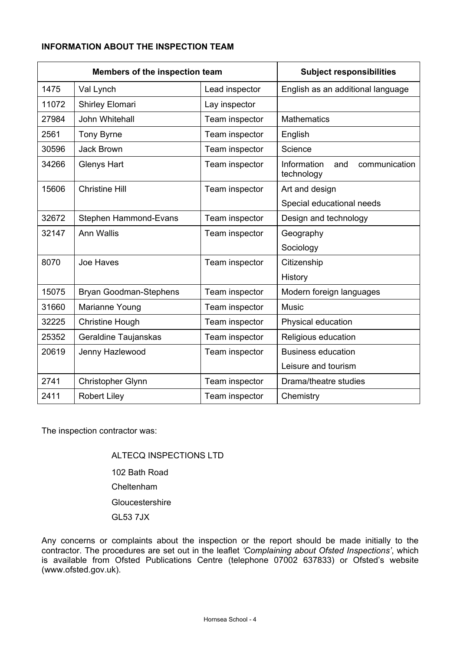# **INFORMATION ABOUT THE INSPECTION TEAM**

| Members of the inspection team |                        | <b>Subject responsibilities</b> |                                                   |  |  |
|--------------------------------|------------------------|---------------------------------|---------------------------------------------------|--|--|
| 1475                           | Val Lynch              | Lead inspector                  | English as an additional language                 |  |  |
| 11072                          | Shirley Elomari        | Lay inspector                   |                                                   |  |  |
| 27984                          | John Whitehall         | Team inspector                  | <b>Mathematics</b>                                |  |  |
| 2561                           | <b>Tony Byrne</b>      | Team inspector                  | English                                           |  |  |
| 30596                          | Jack Brown             | Team inspector                  | Science                                           |  |  |
| 34266                          | <b>Glenys Hart</b>     | Team inspector                  | Information<br>communication<br>and<br>technology |  |  |
| 15606                          | <b>Christine Hill</b>  | Team inspector                  | Art and design                                    |  |  |
|                                |                        |                                 | Special educational needs                         |  |  |
| 32672                          | Stephen Hammond-Evans  | Team inspector                  | Design and technology                             |  |  |
| 32147                          | Ann Wallis             | Team inspector                  | Geography                                         |  |  |
|                                |                        |                                 | Sociology                                         |  |  |
| 8070                           | Joe Haves              | Team inspector                  | Citizenship                                       |  |  |
|                                |                        |                                 | History                                           |  |  |
| 15075                          | Bryan Goodman-Stephens | Team inspector                  | Modern foreign languages                          |  |  |
| 31660                          | Marianne Young         | Team inspector                  | <b>Music</b>                                      |  |  |
| 32225                          | <b>Christine Hough</b> | Team inspector                  | Physical education                                |  |  |
| 25352                          | Geraldine Taujanskas   | Team inspector                  | Religious education                               |  |  |
| 20619                          | Jenny Hazlewood        | Team inspector                  | <b>Business education</b>                         |  |  |
|                                |                        |                                 | Leisure and tourism                               |  |  |
| 2741                           | Christopher Glynn      | Team inspector                  | Drama/theatre studies                             |  |  |
| 2411                           | <b>Robert Liley</b>    | Team inspector                  | Chemistry                                         |  |  |

The inspection contractor was:

 ALTECQ INSPECTIONS LTD 102 Bath Road Cheltenham **Gloucestershire** GL53 7JX

Any concerns or complaints about the inspection or the report should be made initially to the contractor. The procedures are set out in the leaflet *'Complaining about Ofsted Inspections'*, which is available from Ofsted Publications Centre (telephone 07002 637833) or Ofsted's website (www.ofsted.gov.uk).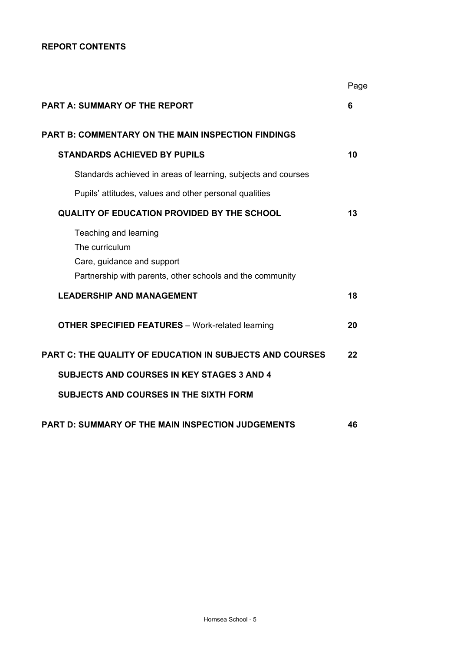# **REPORT CONTENTS**

|                                                                                                                                    | Page |
|------------------------------------------------------------------------------------------------------------------------------------|------|
| <b>PART A: SUMMARY OF THE REPORT</b>                                                                                               | 6    |
| <b>PART B: COMMENTARY ON THE MAIN INSPECTION FINDINGS</b>                                                                          |      |
| <b>STANDARDS ACHIEVED BY PUPILS</b>                                                                                                | 10   |
| Standards achieved in areas of learning, subjects and courses                                                                      |      |
| Pupils' attitudes, values and other personal qualities                                                                             |      |
| <b>QUALITY OF EDUCATION PROVIDED BY THE SCHOOL</b>                                                                                 | 13   |
| Teaching and learning<br>The curriculum<br>Care, guidance and support<br>Partnership with parents, other schools and the community |      |
| <b>LEADERSHIP AND MANAGEMENT</b>                                                                                                   | 18   |
| <b>OTHER SPECIFIED FEATURES</b> - Work-related learning                                                                            | 20   |
| <b>PART C: THE QUALITY OF EDUCATION IN SUBJECTS AND COURSES</b>                                                                    | 22   |
| <b>SUBJECTS AND COURSES IN KEY STAGES 3 AND 4</b>                                                                                  |      |
| <b>SUBJECTS AND COURSES IN THE SIXTH FORM</b>                                                                                      |      |
| <b>PART D: SUMMARY OF THE MAIN INSPECTION JUDGEMENTS</b>                                                                           | 46   |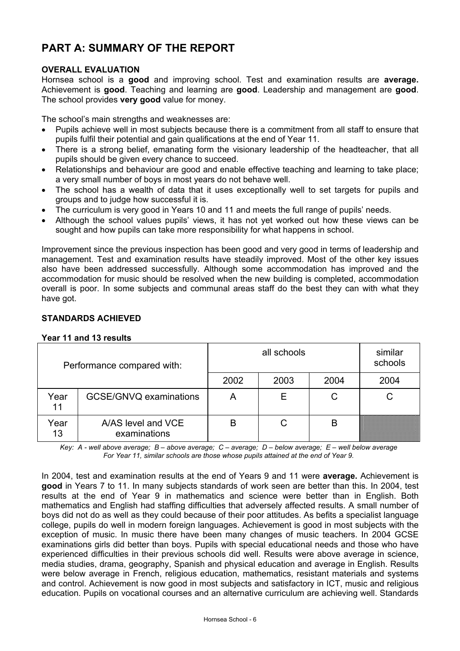# **PART A: SUMMARY OF THE REPORT**

# **OVERALL EVALUATION**

Hornsea school is a **good** and improving school. Test and examination results are **average.** Achievement is **good**. Teaching and learning are **good**. Leadership and management are **good**. The school provides **very good** value for money.

The school's main strengths and weaknesses are:

- Pupils achieve well in most subjects because there is a commitment from all staff to ensure that pupils fulfil their potential and gain qualifications at the end of Year 11.
- There is a strong belief, emanating form the visionary leadership of the headteacher, that all pupils should be given every chance to succeed.
- Relationships and behaviour are good and enable effective teaching and learning to take place; a very small number of boys in most years do not behave well.
- The school has a wealth of data that it uses exceptionally well to set targets for pupils and groups and to judge how successful it is.
- The curriculum is very good in Years 10 and 11 and meets the full range of pupils' needs.
- Although the school values pupils' views, it has not yet worked out how these views can be sought and how pupils can take more responsibility for what happens in school.

Improvement since the previous inspection has been good and very good in terms of leadership and management. Test and examination results have steadily improved. Most of the other key issues also have been addressed successfully. Although some accommodation has improved and the accommodation for music should be resolved when the new building is completed, accommodation overall is poor. In some subjects and communal areas staff do the best they can with what they have got.

# **STANDARDS ACHIEVED**

#### **Year 11 and 13 results**

| Performance compared with: |                                    |      | similar<br>schools |      |      |
|----------------------------|------------------------------------|------|--------------------|------|------|
|                            |                                    | 2002 | 2003               | 2004 | 2004 |
| Year<br>11                 | GCSE/GNVQ examinations             | Α    |                    | С    |      |
| Year<br>13                 | A/AS level and VCE<br>examinations | B    |                    | B    |      |

*Key: A - well above average; B – above average; C – average; D – below average; E – well below average For Year 11, similar schools are those whose pupils attained at the end of Year 9.* 

In 2004, test and examination results at the end of Years 9 and 11 were **average.** Achievement is **good** in Years 7 to 11. In many subjects standards of work seen are better than this. In 2004, test results at the end of Year 9 in mathematics and science were better than in English. Both mathematics and English had staffing difficulties that adversely affected results. A small number of boys did not do as well as they could because of their poor attitudes. As befits a specialist language college, pupils do well in modern foreign languages. Achievement is good in most subjects with the exception of music. In music there have been many changes of music teachers. In 2004 GCSE examinations girls did better than boys. Pupils with special educational needs and those who have experienced difficulties in their previous schools did well. Results were above average in science, media studies, drama, geography, Spanish and physical education and average in English. Results were below average in French, religious education, mathematics, resistant materials and systems and control. Achievement is now good in most subjects and satisfactory in ICT, music and religious education. Pupils on vocational courses and an alternative curriculum are achieving well. Standards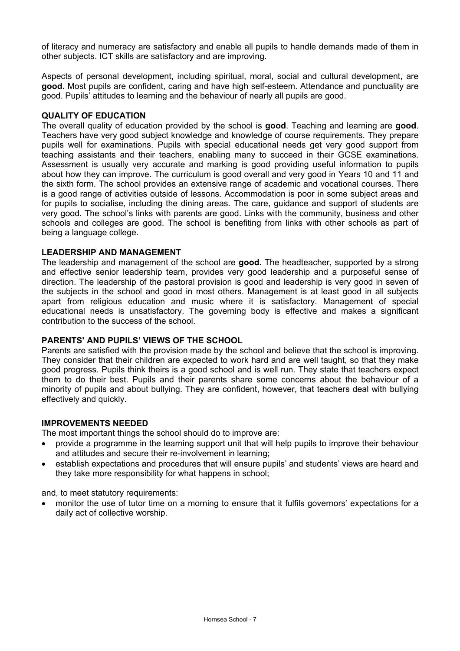of literacy and numeracy are satisfactory and enable all pupils to handle demands made of them in other subjects. ICT skills are satisfactory and are improving.

Aspects of personal development, including spiritual, moral, social and cultural development, are **good.** Most pupils are confident, caring and have high self-esteem. Attendance and punctuality are good. Pupils' attitudes to learning and the behaviour of nearly all pupils are good.

#### **QUALITY OF EDUCATION**

The overall quality of education provided by the school is **good**. Teaching and learning are **good**. Teachers have very good subject knowledge and knowledge of course requirements. They prepare pupils well for examinations. Pupils with special educational needs get very good support from teaching assistants and their teachers, enabling many to succeed in their GCSE examinations. Assessment is usually very accurate and marking is good providing useful information to pupils about how they can improve. The curriculum is good overall and very good in Years 10 and 11 and the sixth form. The school provides an extensive range of academic and vocational courses. There is a good range of activities outside of lessons. Accommodation is poor in some subject areas and for pupils to socialise, including the dining areas. The care, guidance and support of students are very good. The school's links with parents are good. Links with the community, business and other schools and colleges are good. The school is benefiting from links with other schools as part of being a language college.

#### **LEADERSHIP AND MANAGEMENT**

The leadership and management of the school are **good.** The headteacher, supported by a strong and effective senior leadership team, provides very good leadership and a purposeful sense of direction. The leadership of the pastoral provision is good and leadership is very good in seven of the subjects in the school and good in most others. Management is at least good in all subjects apart from religious education and music where it is satisfactory. Management of special educational needs is unsatisfactory. The governing body is effective and makes a significant contribution to the success of the school.

# **PARENTS' AND PUPILS' VIEWS OF THE SCHOOL**

Parents are satisfied with the provision made by the school and believe that the school is improving. They consider that their children are expected to work hard and are well taught, so that they make good progress. Pupils think theirs is a good school and is well run. They state that teachers expect them to do their best. Pupils and their parents share some concerns about the behaviour of a minority of pupils and about bullying. They are confident, however, that teachers deal with bullying effectively and quickly.

#### **IMPROVEMENTS NEEDED**

The most important things the school should do to improve are:

- provide a programme in the learning support unit that will help pupils to improve their behaviour and attitudes and secure their re-involvement in learning;
- establish expectations and procedures that will ensure pupils' and students' views are heard and they take more responsibility for what happens in school;

and, to meet statutory requirements:

• monitor the use of tutor time on a morning to ensure that it fulfils governors' expectations for a daily act of collective worship.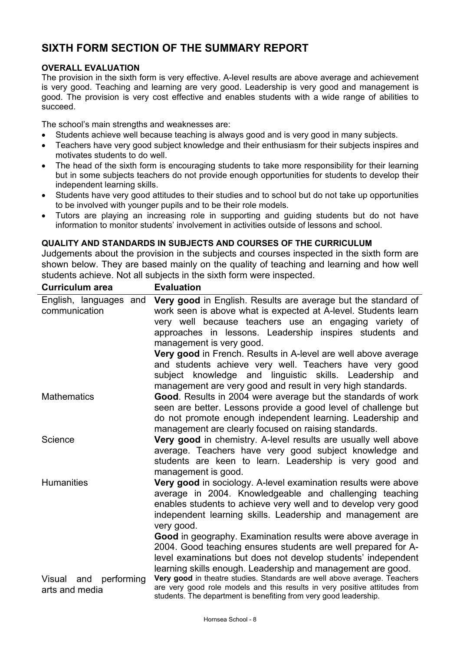# **SIXTH FORM SECTION OF THE SUMMARY REPORT**

# **OVERALL EVALUATION**

The provision in the sixth form is very effective. A-level results are above average and achievement is very good. Teaching and learning are very good. Leadership is very good and management is good. The provision is very cost effective and enables students with a wide range of abilities to succeed.

The school's main strengths and weaknesses are:

- Students achieve well because teaching is always good and is very good in many subjects.
- Teachers have very good subject knowledge and their enthusiasm for their subjects inspires and motivates students to do well.
- The head of the sixth form is encouraging students to take more responsibility for their learning but in some subjects teachers do not provide enough opportunities for students to develop their independent learning skills.
- Students have very good attitudes to their studies and to school but do not take up opportunities to be involved with younger pupils and to be their role models.
- Tutors are playing an increasing role in supporting and guiding students but do not have information to monitor students' involvement in activities outside of lessons and school.

#### **QUALITY AND STANDARDS IN SUBJECTS AND COURSES OF THE CURRICULUM**

Judgements about the provision in the subjects and courses inspected in the sixth form are shown below. They are based mainly on the quality of teaching and learning and how well students achieve. Not all subjects in the sixth form were inspected.

| <b>Evaluation</b>                                                                                                                                                                                                           |
|-----------------------------------------------------------------------------------------------------------------------------------------------------------------------------------------------------------------------------|
| Very good in English. Results are average but the standard of<br>work seen is above what is expected at A-level. Students learn                                                                                             |
| very well because teachers use an engaging variety of<br>approaches in lessons. Leadership inspires students and                                                                                                            |
| management is very good.                                                                                                                                                                                                    |
| Very good in French. Results in A-level are well above average                                                                                                                                                              |
| and students achieve very well. Teachers have very good<br>subject knowledge and linguistic skills. Leadership and                                                                                                          |
| management are very good and result in very high standards.                                                                                                                                                                 |
| Good. Results in 2004 were average but the standards of work                                                                                                                                                                |
| seen are better. Lessons provide a good level of challenge but                                                                                                                                                              |
| do not promote enough independent learning. Leadership and                                                                                                                                                                  |
| management are clearly focused on raising standards.<br>Very good in chemistry. A-level results are usually well above                                                                                                      |
| average. Teachers have very good subject knowledge and                                                                                                                                                                      |
| students are keen to learn. Leadership is very good and                                                                                                                                                                     |
| management is good.                                                                                                                                                                                                         |
| Very good in sociology. A-level examination results were above                                                                                                                                                              |
| average in 2004. Knowledgeable and challenging teaching                                                                                                                                                                     |
| enables students to achieve very well and to develop very good                                                                                                                                                              |
| independent learning skills. Leadership and management are<br>very good.                                                                                                                                                    |
| Good in geography. Examination results were above average in                                                                                                                                                                |
| 2004. Good teaching ensures students are well prepared for A-                                                                                                                                                               |
| level examinations but does not develop students' independent                                                                                                                                                               |
| learning skills enough. Leadership and management are good.                                                                                                                                                                 |
| Very good in theatre studies. Standards are well above average. Teachers<br>are very good role models and this results in very positive attitudes from<br>students. The department is benefiting from very good leadership. |
|                                                                                                                                                                                                                             |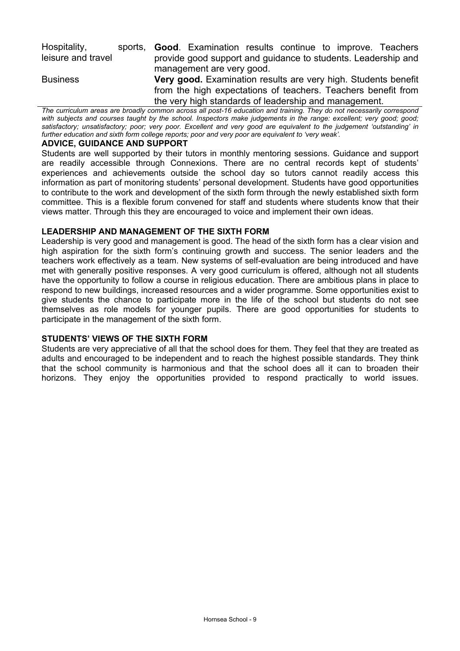| Hospitality,<br>leisure and travel | sports. | <b>Good.</b> Examination results continue to improve. Teachers<br>provide good support and guidance to students. Leadership and<br>management are very good.                                    |
|------------------------------------|---------|-------------------------------------------------------------------------------------------------------------------------------------------------------------------------------------------------|
| <b>Business</b>                    |         | <b>Very good.</b> Examination results are very high. Students benefit<br>from the high expectations of teachers. Teachers benefit from<br>the very high standards of leadership and management. |

*The curriculum areas are broadly common across all post-16 education and training. They do not necessarily correspond*  with subjects and courses taught by the school. Inspectors make judgements in the range: excellent; very good; good; *satisfactory; unsatisfactory; poor; very poor. Excellent and very good are equivalent to the judgement 'outstanding' in further education and sixth form college reports; poor and very poor are equivalent to 'very weak'.*

#### **ADVICE, GUIDANCE AND SUPPORT**

Students are well supported by their tutors in monthly mentoring sessions. Guidance and support are readily accessible through Connexions. There are no central records kept of students' experiences and achievements outside the school day so tutors cannot readily access this information as part of monitoring students' personal development. Students have good opportunities to contribute to the work and development of the sixth form through the newly established sixth form committee. This is a flexible forum convened for staff and students where students know that their views matter. Through this they are encouraged to voice and implement their own ideas.

#### **LEADERSHIP AND MANAGEMENT OF THE SIXTH FORM**

Leadership is very good and management is good. The head of the sixth form has a clear vision and high aspiration for the sixth form's continuing growth and success. The senior leaders and the teachers work effectively as a team. New systems of self-evaluation are being introduced and have met with generally positive responses. A very good curriculum is offered, although not all students have the opportunity to follow a course in religious education. There are ambitious plans in place to respond to new buildings, increased resources and a wider programme. Some opportunities exist to give students the chance to participate more in the life of the school but students do not see themselves as role models for younger pupils. There are good opportunities for students to participate in the management of the sixth form.

#### **STUDENTS' VIEWS OF THE SIXTH FORM**

Students are very appreciative of all that the school does for them. They feel that they are treated as adults and encouraged to be independent and to reach the highest possible standards. They think that the school community is harmonious and that the school does all it can to broaden their horizons. They enjoy the opportunities provided to respond practically to world issues.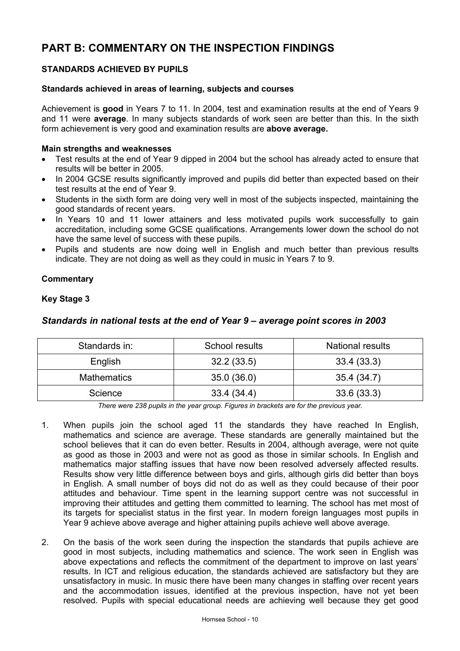# **PART B: COMMENTARY ON THE INSPECTION FINDINGS**

# **STANDARDS ACHIEVED BY PUPILS**

#### **Standards achieved in areas of learning, subjects and courses**

Achievement is **good** in Years 7 to 11. In 2004, test and examination results at the end of Years 9 and 11 were **average**. In many subjects standards of work seen are better than this. In the sixth form achievement is very good and examination results are **above average.**

#### **Main strengths and weaknesses**

- Test results at the end of Year 9 dipped in 2004 but the school has already acted to ensure that results will be better in 2005.
- In 2004 GCSE results significantly improved and pupils did better than expected based on their test results at the end of Year 9.
- Students in the sixth form are doing very well in most of the subjects inspected, maintaining the good standards of recent years.
- In Years 10 and 11 lower attainers and less motivated pupils work successfully to gain accreditation, including some GCSE qualifications. Arrangements lower down the school do not have the same level of success with these pupils.
- Pupils and students are now doing well in English and much better than previous results indicate. They are not doing as well as they could in music in Years 7 to 9.

# **Commentary**

#### **Key Stage 3**

# *Standards in national tests at the end of Year 9 – average point scores in 2003*

| Standards in:      | School results | National results |  |  |
|--------------------|----------------|------------------|--|--|
| English            | 32.2(33.5)     | 33.4 (33.3)      |  |  |
| <b>Mathematics</b> | 35.0(36.0)     | 35.4 (34.7)      |  |  |
| Science            | 33.4(34.4)     | 33.6(33.3)       |  |  |

*There were 238 pupils in the year group. Figures in brackets are for the previous year.* 

- 1. When pupils join the school aged 11 the standards they have reached In English, mathematics and science are average. These standards are generally maintained but the school believes that it can do even better. Results in 2004, although average, were not quite as good as those in 2003 and were not as good as those in similar schools. In English and mathematics major staffing issues that have now been resolved adversely affected results. Results show very little difference between boys and girls, although girls did better than boys in English. A small number of boys did not do as well as they could because of their poor attitudes and behaviour. Time spent in the learning support centre was not successful in improving their attitudes and getting them committed to learning. The school has met most of its targets for specialist status in the first year. In modern foreign languages most pupils in Year 9 achieve above average and higher attaining pupils achieve well above average.
- 2. On the basis of the work seen during the inspection the standards that pupils achieve are good in most subjects, including mathematics and science. The work seen in English was above expectations and reflects the commitment of the department to improve on last years' results. In ICT and religious education, the standards achieved are satisfactory but they are unsatisfactory in music. In music there have been many changes in staffing over recent years and the accommodation issues, identified at the previous inspection, have not yet been resolved. Pupils with special educational needs are achieving well because they get good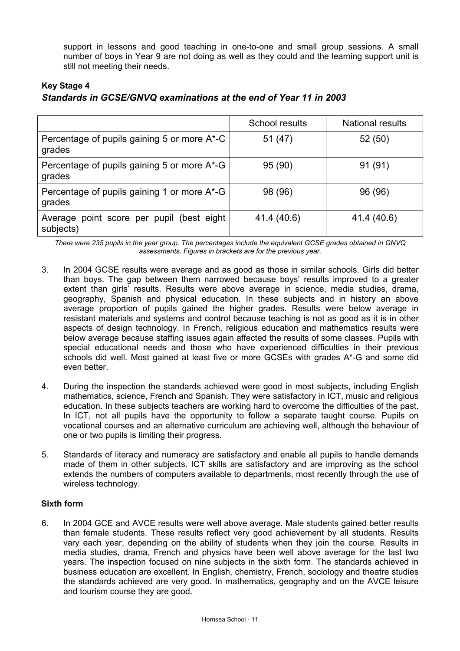support in lessons and good teaching in one-to-one and small group sessions. A small number of boys in Year 9 are not doing as well as they could and the learning support unit is still not meeting their needs.

# **Key Stage 4** *Standards in GCSE/GNVQ examinations at the end of Year 11 in 2003*

|                                                        | School results | <b>National results</b> |
|--------------------------------------------------------|----------------|-------------------------|
| Percentage of pupils gaining 5 or more A*-C<br>grades  | 51 (47)        | 52 (50)                 |
| Percentage of pupils gaining 5 or more A*-G<br>grades  | 95 (90)        | 91(91)                  |
| Percentage of pupils gaining 1 or more A*-G<br>grades  | 98 (96)        | 96 (96)                 |
| Average point score per pupil (best eight<br>subjects) | 41.4 (40.6)    | 41.4 (40.6)             |

*There were 235 pupils in the year group. The percentages include the equivalent GCSE grades obtained in GNVQ assessments. Figures in brackets are for the previous year.* 

- 3. In 2004 GCSE results were average and as good as those in similar schools. Girls did better than boys. The gap between them narrowed because boys' results improved to a greater extent than girls' results. Results were above average in science, media studies, drama, geography, Spanish and physical education. In these subjects and in history an above average proportion of pupils gained the higher grades. Results were below average in resistant materials and systems and control because teaching is not as good as it is in other aspects of design technology. In French, religious education and mathematics results were below average because staffing issues again affected the results of some classes. Pupils with special educational needs and those who have experienced difficulties in their previous schools did well. Most gained at least five or more GCSEs with grades A\*-G and some did even better.
- 4. During the inspection the standards achieved were good in most subjects, including English mathematics, science, French and Spanish. They were satisfactory in ICT, music and religious education. In these subjects teachers are working hard to overcome the difficulties of the past. In ICT, not all pupils have the opportunity to follow a separate taught course. Pupils on vocational courses and an alternative curriculum are achieving well, although the behaviour of one or two pupils is limiting their progress.
- 5. Standards of literacy and numeracy are satisfactory and enable all pupils to handle demands made of them in other subjects. ICT skills are satisfactory and are improving as the school extends the numbers of computers available to departments, most recently through the use of wireless technology.

# **Sixth form**

6. In 2004 GCE and AVCE results were well above average. Male students gained better results than female students. These results reflect very good achievement by all students. Results vary each year, depending on the ability of students when they join the course. Results in media studies, drama, French and physics have been well above average for the last two years. The inspection focused on nine subjects in the sixth form. The standards achieved in business education are excellent. In English, chemistry, French, sociology and theatre studies the standards achieved are very good. In mathematics, geography and on the AVCE leisure and tourism course they are good.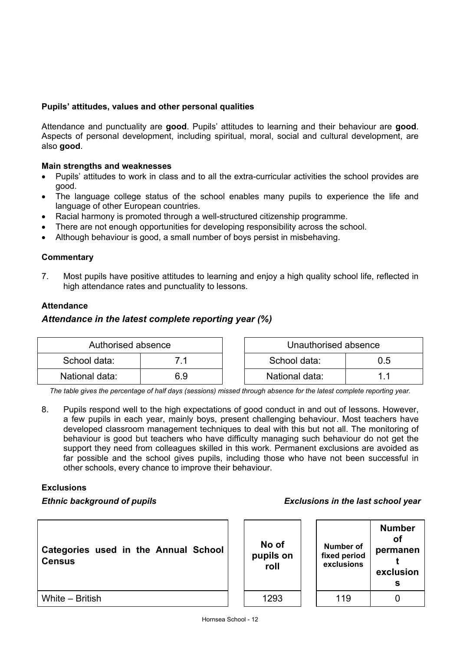# **Pupils' attitudes, values and other personal qualities**

Attendance and punctuality are **good**. Pupils' attitudes to learning and their behaviour are **good**. Aspects of personal development, including spiritual, moral, social and cultural development, are also **good**.

# **Main strengths and weaknesses**

- Pupils' attitudes to work in class and to all the extra-curricular activities the school provides are good.
- The language college status of the school enables many pupils to experience the life and language of other European countries.
- Racial harmony is promoted through a well-structured citizenship programme.
- There are not enough opportunities for developing responsibility across the school.
- Although behaviour is good, a small number of boys persist in misbehaving.

#### **Commentary**

7. Most pupils have positive attitudes to learning and enjoy a high quality school life, reflected in high attendance rates and punctuality to lessons.

# **Attendance**

# *Attendance in the latest complete reporting year (%)*

| Authorised absence |     |  | Unauthorised absence |     |
|--------------------|-----|--|----------------------|-----|
| School data:       |     |  | School data:         | 0.5 |
| National data:     | 6.9 |  | National data:       |     |

*The table gives the percentage of half days (sessions) missed through absence for the latest complete reporting year.*

8. Pupils respond well to the high expectations of good conduct in and out of lessons. However, a few pupils in each year, mainly boys, present challenging behaviour. Most teachers have developed classroom management techniques to deal with this but not all. The monitoring of behaviour is good but teachers who have difficulty managing such behaviour do not get the support they need from colleagues skilled in this work. Permanent exclusions are avoided as far possible and the school gives pupils, including those who have not been successful in other schools, every chance to improve their behaviour.

#### **Exclusions**

#### *Ethnic background of pupils Exclusions in the last school year*

| Categories used in the Annual School<br><b>Census</b> |  |  |  |
|-------------------------------------------------------|--|--|--|
|                                                       |  |  |  |

| No of<br>pupils on<br>roll | Number of<br>fixed period<br>exclusions | <b>Number</b><br>Ωf<br>permanen<br>exclusion |
|----------------------------|-----------------------------------------|----------------------------------------------|
| 1293                       | 119                                     |                                              |

White – British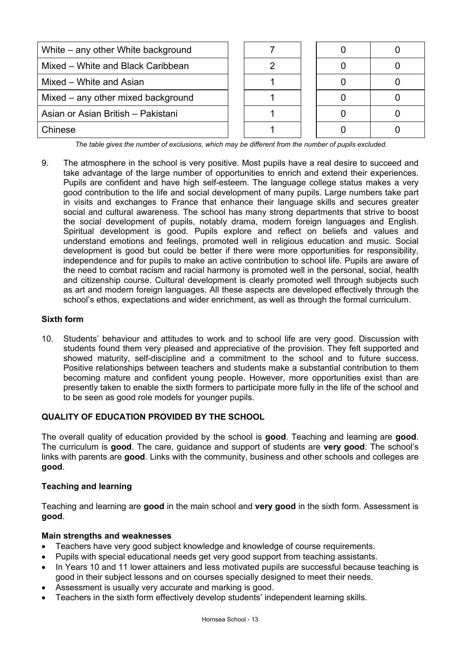| White – any other White background |  |  |  |
|------------------------------------|--|--|--|
| Mixed - White and Black Caribbean  |  |  |  |
| Mixed – White and Asian            |  |  |  |
| Mixed – any other mixed background |  |  |  |
| Asian or Asian British - Pakistani |  |  |  |
| Chinese                            |  |  |  |

*The table gives the number of exclusions, which may be different from the number of pupils excluded.*

9. The atmosphere in the school is very positive. Most pupils have a real desire to succeed and take advantage of the large number of opportunities to enrich and extend their experiences. Pupils are confident and have high self-esteem. The language college status makes a very good contribution to the life and social development of many pupils. Large numbers take part in visits and exchanges to France that enhance their language skills and secures greater social and cultural awareness. The school has many strong departments that strive to boost the social development of pupils, notably drama, modern foreign languages and English. Spiritual development is good. Pupils explore and reflect on beliefs and values and understand emotions and feelings, promoted well in religious education and music. Social development is good but could be better if there were more opportunities for responsibility, independence and for pupils to make an active contribution to school life. Pupils are aware of the need to combat racism and racial harmony is promoted well in the personal, social, health and citizenship course. Cultural development is clearly promoted well through subjects such as art and modern foreign languages. All these aspects are developed effectively through the school's ethos, expectations and wider enrichment, as well as through the formal curriculum.

# **Sixth form**

10. Students' behaviour and attitudes to work and to school life are very good. Discussion with students found them very pleased and appreciative of the provision. They felt supported and showed maturity, self-discipline and a commitment to the school and to future success. Positive relationships between teachers and students make a substantial contribution to them becoming mature and confident young people. However, more opportunities exist than are presently taken to enable the sixth formers to participate more fully in the life of the school and to be seen as good role models for younger pupils.

# **QUALITY OF EDUCATION PROVIDED BY THE SCHOOL**

The overall quality of education provided by the school is **good**. Teaching and learning are **good**. The curriculum is **good**. The care, guidance and support of students are **very good**. The school's links with parents are **good**. Links with the community, business and other schools and colleges are **good**.

# **Teaching and learning**

Teaching and learning are **good** in the main school and **very good** in the sixth form. Assessment is **good**.

#### **Main strengths and weaknesses**

- Teachers have very good subject knowledge and knowledge of course requirements.
- Pupils with special educational needs get very good support from teaching assistants.
- In Years 10 and 11 lower attainers and less motivated pupils are successful because teaching is good in their subject lessons and on courses specially designed to meet their needs.
- Assessment is usually very accurate and marking is good.
- Teachers in the sixth form effectively develop students' independent learning skills.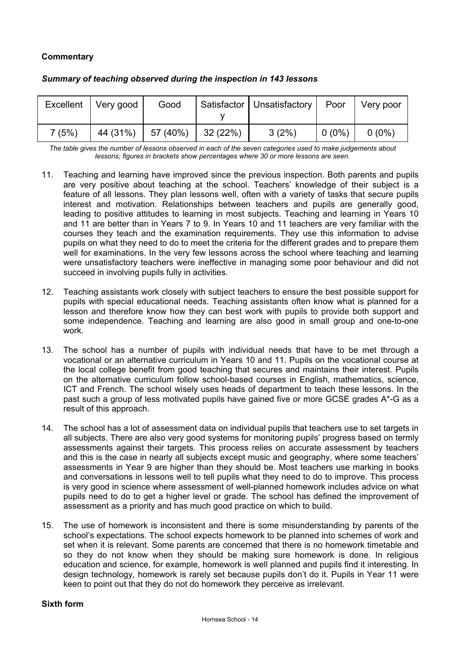# **Commentary**

| Excellent | Very good | Good     |          | Satisfactor   Unsatisfactory | Poor     | Very poor |
|-----------|-----------|----------|----------|------------------------------|----------|-----------|
| 7(5%)     | 44 (31%)  | 57 (40%) | 32 (22%) | 3(2%)                        | $0(0\%)$ | $0(0\%)$  |

# *Summary of teaching observed during the inspection in 143 lessons*

*The table gives the number of lessons observed in each of the seven categories used to make judgements about lessons; figures in brackets show percentages where 30 or more lessons are seen.* 

- 11. Teaching and learning have improved since the previous inspection. Both parents and pupils are very positive about teaching at the school. Teachers' knowledge of their subject is a feature of all lessons. They plan lessons well, often with a variety of tasks that secure pupils interest and motivation. Relationships between teachers and pupils are generally good, leading to positive attitudes to learning in most subjects. Teaching and learning in Years 10 and 11 are better than in Years 7 to 9. In Years 10 and 11 teachers are very familiar with the courses they teach and the examination requirements. They use this information to advise pupils on what they need to do to meet the criteria for the different grades and to prepare them well for examinations. In the very few lessons across the school where teaching and learning were unsatisfactory teachers were ineffective in managing some poor behaviour and did not succeed in involving pupils fully in activities.
- 12. Teaching assistants work closely with subject teachers to ensure the best possible support for pupils with special educational needs. Teaching assistants often know what is planned for a lesson and therefore know how they can best work with pupils to provide both support and some independence. Teaching and learning are also good in small group and one-to-one work.
- 13. The school has a number of pupils with individual needs that have to be met through a vocational or an alternative curriculum in Years 10 and 11. Pupils on the vocational course at the local college benefit from good teaching that secures and maintains their interest. Pupils on the alternative curriculum follow school-based courses in English, mathematics, science, ICT and French. The school wisely uses heads of department to teach these lessons. In the past such a group of less motivated pupils have gained five or more GCSE grades A\*-G as a result of this approach.
- 14. The school has a lot of assessment data on individual pupils that teachers use to set targets in all subjects. There are also very good systems for monitoring pupils' progress based on termly assessments against their targets. This process relies on accurate assessment by teachers and this is the case in nearly all subjects except music and geography, where some teachers' assessments in Year 9 are higher than they should be. Most teachers use marking in books and conversations in lessons well to tell pupils what they need to do to improve. This process is very good in science where assessment of well-planned homework includes advice on what pupils need to do to get a higher level or grade. The school has defined the improvement of assessment as a priority and has much good practice on which to build.
- 15. The use of homework is inconsistent and there is some misunderstanding by parents of the school's expectations. The school expects homework to be planned into schemes of work and set when it is relevant. Some parents are concerned that there is no homework timetable and so they do not know when they should be making sure homework is done. In religious education and science, for example, homework is well planned and pupils find it interesting. In design technology, homework is rarely set because pupils don't do it. Pupils in Year 11 were keen to point out that they do not do homework they perceive as irrelevant.

# **Sixth form**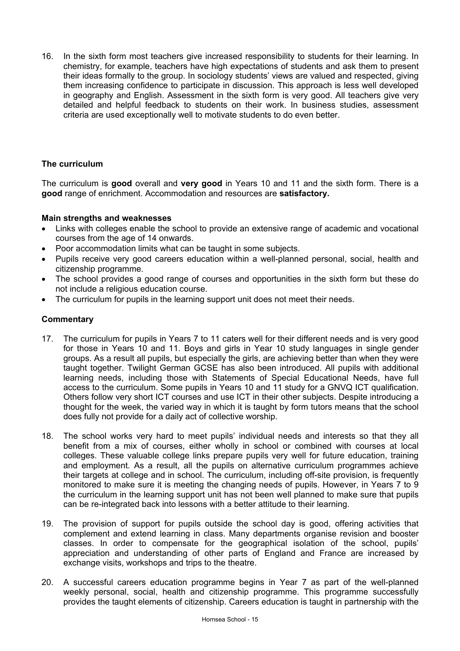16. In the sixth form most teachers give increased responsibility to students for their learning. In chemistry, for example, teachers have high expectations of students and ask them to present their ideas formally to the group. In sociology students' views are valued and respected, giving them increasing confidence to participate in discussion. This approach is less well developed in geography and English. Assessment in the sixth form is very good. All teachers give very detailed and helpful feedback to students on their work. In business studies, assessment criteria are used exceptionally well to motivate students to do even better.

# **The curriculum**

The curriculum is **good** overall and **very good** in Years 10 and 11 and the sixth form. There is a **good** range of enrichment. Accommodation and resources are **satisfactory.** 

# **Main strengths and weaknesses**

- Links with colleges enable the school to provide an extensive range of academic and vocational courses from the age of 14 onwards.
- Poor accommodation limits what can be taught in some subjects.
- Pupils receive very good careers education within a well-planned personal, social, health and citizenship programme.
- The school provides a good range of courses and opportunities in the sixth form but these do not include a religious education course.
- The curriculum for pupils in the learning support unit does not meet their needs.

- 17. The curriculum for pupils in Years 7 to 11 caters well for their different needs and is very good for those in Years 10 and 11. Boys and girls in Year 10 study languages in single gender groups. As a result all pupils, but especially the girls, are achieving better than when they were taught together. Twilight German GCSE has also been introduced. All pupils with additional learning needs, including those with Statements of Special Educational Needs, have full access to the curriculum. Some pupils in Years 10 and 11 study for a GNVQ ICT qualification. Others follow very short ICT courses and use ICT in their other subjects. Despite introducing a thought for the week, the varied way in which it is taught by form tutors means that the school does fully not provide for a daily act of collective worship.
- 18. The school works very hard to meet pupils' individual needs and interests so that they all benefit from a mix of courses, either wholly in school or combined with courses at local colleges. These valuable college links prepare pupils very well for future education, training and employment. As a result, all the pupils on alternative curriculum programmes achieve their targets at college and in school. The curriculum, including off-site provision, is frequently monitored to make sure it is meeting the changing needs of pupils. However, in Years 7 to 9 the curriculum in the learning support unit has not been well planned to make sure that pupils can be re-integrated back into lessons with a better attitude to their learning.
- 19. The provision of support for pupils outside the school day is good, offering activities that complement and extend learning in class. Many departments organise revision and booster classes. In order to compensate for the geographical isolation of the school, pupils' appreciation and understanding of other parts of England and France are increased by exchange visits, workshops and trips to the theatre.
- 20. A successful careers education programme begins in Year 7 as part of the well-planned weekly personal, social, health and citizenship programme. This programme successfully provides the taught elements of citizenship. Careers education is taught in partnership with the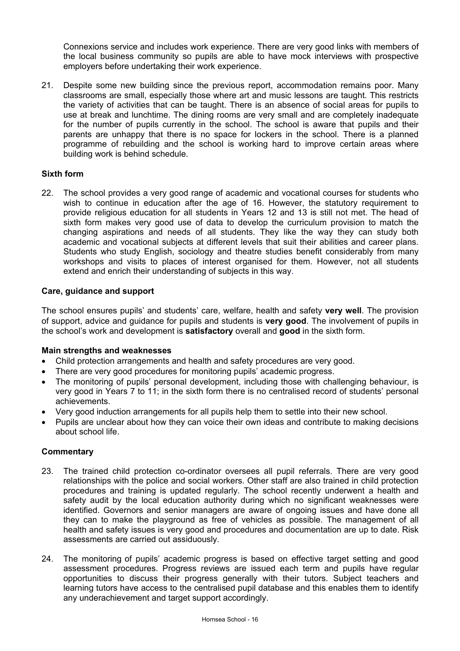Connexions service and includes work experience. There are very good links with members of the local business community so pupils are able to have mock interviews with prospective employers before undertaking their work experience.

21. Despite some new building since the previous report, accommodation remains poor. Many classrooms are small, especially those where art and music lessons are taught. This restricts the variety of activities that can be taught. There is an absence of social areas for pupils to use at break and lunchtime. The dining rooms are very small and are completely inadequate for the number of pupils currently in the school. The school is aware that pupils and their parents are unhappy that there is no space for lockers in the school. There is a planned programme of rebuilding and the school is working hard to improve certain areas where building work is behind schedule.

# **Sixth form**

22. The school provides a very good range of academic and vocational courses for students who wish to continue in education after the age of 16. However, the statutory requirement to provide religious education for all students in Years 12 and 13 is still not met. The head of sixth form makes very good use of data to develop the curriculum provision to match the changing aspirations and needs of all students. They like the way they can study both academic and vocational subjects at different levels that suit their abilities and career plans. Students who study English, sociology and theatre studies benefit considerably from many workshops and visits to places of interest organised for them. However, not all students extend and enrich their understanding of subjects in this way.

# **Care, guidance and support**

The school ensures pupils' and students' care, welfare, health and safety **very well**. The provision of support, advice and guidance for pupils and students is **very good**. The involvement of pupils in the school's work and development is **satisfactory** overall and **good** in the sixth form.

# **Main strengths and weaknesses**

- Child protection arrangements and health and safety procedures are very good.
- There are very good procedures for monitoring pupils' academic progress.
- The monitoring of pupils' personal development, including those with challenging behaviour, is very good in Years 7 to 11; in the sixth form there is no centralised record of students' personal achievements.
- Very good induction arrangements for all pupils help them to settle into their new school.
- Pupils are unclear about how they can voice their own ideas and contribute to making decisions about school life.

- 23. The trained child protection co-ordinator oversees all pupil referrals. There are very good relationships with the police and social workers. Other staff are also trained in child protection procedures and training is updated regularly. The school recently underwent a health and safety audit by the local education authority during which no significant weaknesses were identified. Governors and senior managers are aware of ongoing issues and have done all they can to make the playground as free of vehicles as possible. The management of all health and safety issues is very good and procedures and documentation are up to date. Risk assessments are carried out assiduously.
- 24. The monitoring of pupils' academic progress is based on effective target setting and good assessment procedures. Progress reviews are issued each term and pupils have regular opportunities to discuss their progress generally with their tutors. Subject teachers and learning tutors have access to the centralised pupil database and this enables them to identify any underachievement and target support accordingly.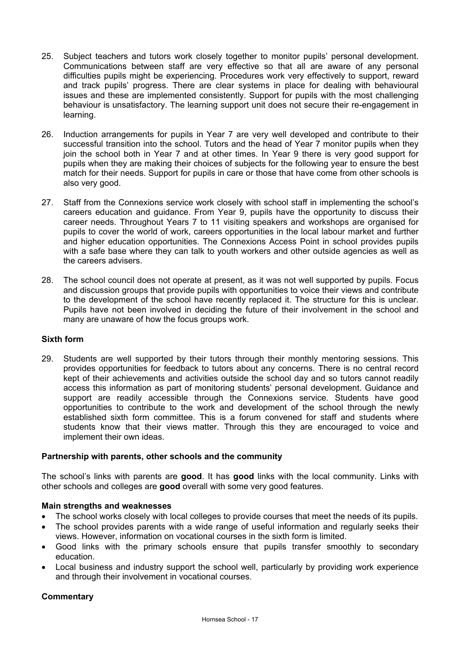- 25. Subject teachers and tutors work closely together to monitor pupils' personal development. Communications between staff are very effective so that all are aware of any personal difficulties pupils might be experiencing. Procedures work very effectively to support, reward and track pupils' progress. There are clear systems in place for dealing with behavioural issues and these are implemented consistently. Support for pupils with the most challenging behaviour is unsatisfactory. The learning support unit does not secure their re-engagement in learning.
- 26. Induction arrangements for pupils in Year 7 are very well developed and contribute to their successful transition into the school. Tutors and the head of Year 7 monitor pupils when they join the school both in Year 7 and at other times. In Year 9 there is very good support for pupils when they are making their choices of subjects for the following year to ensure the best match for their needs. Support for pupils in care or those that have come from other schools is also very good.
- 27. Staff from the Connexions service work closely with school staff in implementing the school's careers education and guidance. From Year 9, pupils have the opportunity to discuss their career needs. Throughout Years 7 to 11 visiting speakers and workshops are organised for pupils to cover the world of work, careers opportunities in the local labour market and further and higher education opportunities. The Connexions Access Point in school provides pupils with a safe base where they can talk to youth workers and other outside agencies as well as the careers advisers.
- 28. The school council does not operate at present, as it was not well supported by pupils. Focus and discussion groups that provide pupils with opportunities to voice their views and contribute to the development of the school have recently replaced it. The structure for this is unclear. Pupils have not been involved in deciding the future of their involvement in the school and many are unaware of how the focus groups work.

# **Sixth form**

29. Students are well supported by their tutors through their monthly mentoring sessions. This provides opportunities for feedback to tutors about any concerns. There is no central record kept of their achievements and activities outside the school day and so tutors cannot readily access this information as part of monitoring students' personal development. Guidance and support are readily accessible through the Connexions service. Students have good opportunities to contribute to the work and development of the school through the newly established sixth form committee. This is a forum convened for staff and students where students know that their views matter. Through this they are encouraged to voice and implement their own ideas.

#### **Partnership with parents, other schools and the community**

The school's links with parents are **good**. It has **good** links with the local community. Links with other schools and colleges are **good** overall with some very good features.

#### **Main strengths and weaknesses**

- The school works closely with local colleges to provide courses that meet the needs of its pupils.
- The school provides parents with a wide range of useful information and regularly seeks their views. However, information on vocational courses in the sixth form is limited.
- Good links with the primary schools ensure that pupils transfer smoothly to secondary education.
- Local business and industry support the school well, particularly by providing work experience and through their involvement in vocational courses.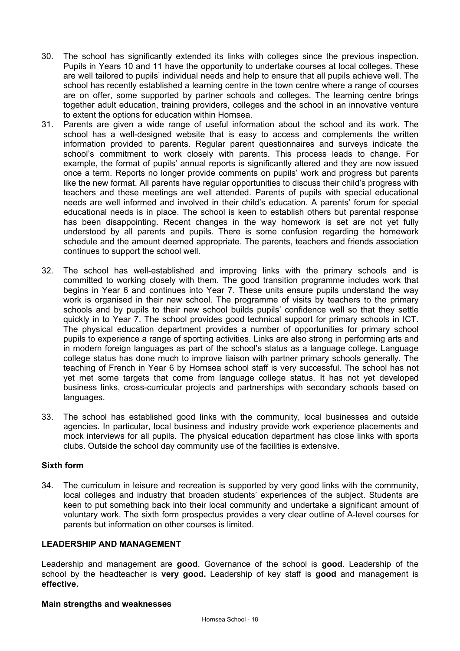- 30. The school has significantly extended its links with colleges since the previous inspection. Pupils in Years 10 and 11 have the opportunity to undertake courses at local colleges. These are well tailored to pupils' individual needs and help to ensure that all pupils achieve well. The school has recently established a learning centre in the town centre where a range of courses are on offer, some supported by partner schools and colleges. The learning centre brings together adult education, training providers, colleges and the school in an innovative venture to extent the options for education within Hornsea.
- 31. Parents are given a wide range of useful information about the school and its work. The school has a well-designed website that is easy to access and complements the written information provided to parents. Regular parent questionnaires and surveys indicate the school's commitment to work closely with parents. This process leads to change. For example, the format of pupils' annual reports is significantly altered and they are now issued once a term. Reports no longer provide comments on pupils' work and progress but parents like the new format. All parents have regular opportunities to discuss their child's progress with teachers and these meetings are well attended. Parents of pupils with special educational needs are well informed and involved in their child's education. A parents' forum for special educational needs is in place. The school is keen to establish others but parental response has been disappointing. Recent changes in the way homework is set are not yet fully understood by all parents and pupils. There is some confusion regarding the homework schedule and the amount deemed appropriate. The parents, teachers and friends association continues to support the school well.
- 32. The school has well-established and improving links with the primary schools and is committed to working closely with them. The good transition programme includes work that begins in Year 6 and continues into Year 7. These units ensure pupils understand the way work is organised in their new school. The programme of visits by teachers to the primary schools and by pupils to their new school builds pupils' confidence well so that they settle quickly in to Year 7. The school provides good technical support for primary schools in ICT. The physical education department provides a number of opportunities for primary school pupils to experience a range of sporting activities. Links are also strong in performing arts and in modern foreign languages as part of the school's status as a language college. Language college status has done much to improve liaison with partner primary schools generally. The teaching of French in Year 6 by Hornsea school staff is very successful. The school has not yet met some targets that come from language college status. It has not yet developed business links, cross-curricular projects and partnerships with secondary schools based on languages.
- 33. The school has established good links with the community, local businesses and outside agencies. In particular, local business and industry provide work experience placements and mock interviews for all pupils. The physical education department has close links with sports clubs. Outside the school day community use of the facilities is extensive.

# **Sixth form**

34. The curriculum in leisure and recreation is supported by very good links with the community, local colleges and industry that broaden students' experiences of the subject. Students are keen to put something back into their local community and undertake a significant amount of voluntary work. The sixth form prospectus provides a very clear outline of A-level courses for parents but information on other courses is limited.

#### **LEADERSHIP AND MANAGEMENT**

Leadership and management are **good**. Governance of the school is **good**. Leadership of the school by the headteacher is **very good.** Leadership of key staff is **good** and management is **effective.**

#### **Main strengths and weaknesses**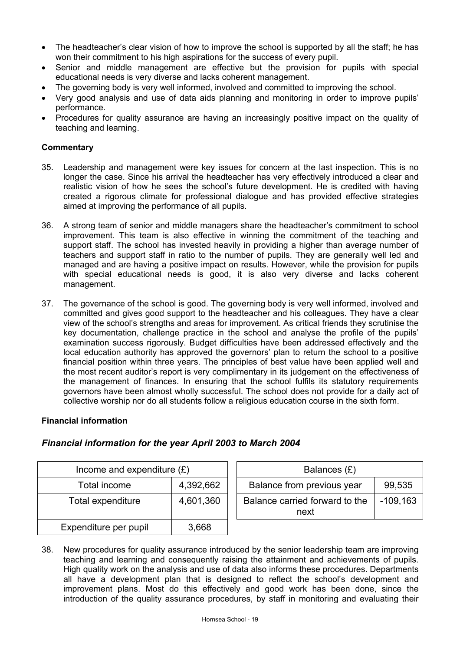- The headteacher's clear vision of how to improve the school is supported by all the staff; he has won their commitment to his high aspirations for the success of every pupil.
- Senior and middle management are effective but the provision for pupils with special educational needs is very diverse and lacks coherent management.
- The governing body is very well informed, involved and committed to improving the school.
- Very good analysis and use of data aids planning and monitoring in order to improve pupils' performance.
- Procedures for quality assurance are having an increasingly positive impact on the quality of teaching and learning.

# **Commentary**

- 35. Leadership and management were key issues for concern at the last inspection. This is no longer the case. Since his arrival the headteacher has very effectively introduced a clear and realistic vision of how he sees the school's future development. He is credited with having created a rigorous climate for professional dialogue and has provided effective strategies aimed at improving the performance of all pupils.
- 36. A strong team of senior and middle managers share the headteacher's commitment to school improvement. This team is also effective in winning the commitment of the teaching and support staff. The school has invested heavily in providing a higher than average number of teachers and support staff in ratio to the number of pupils. They are generally well led and managed and are having a positive impact on results. However, while the provision for pupils with special educational needs is good, it is also very diverse and lacks coherent management.
- 37. The governance of the school is good. The governing body is very well informed, involved and committed and gives good support to the headteacher and his colleagues. They have a clear view of the school's strengths and areas for improvement. As critical friends they scrutinise the key documentation, challenge practice in the school and analyse the profile of the pupils' examination success rigorously. Budget difficulties have been addressed effectively and the local education authority has approved the governors' plan to return the school to a positive financial position within three years. The principles of best value have been applied well and the most recent auditor's report is very complimentary in its judgement on the effectiveness of the management of finances. In ensuring that the school fulfils its statutory requirements governors have been almost wholly successful. The school does not provide for a daily act of collective worship nor do all students follow a religious education course in the sixth form.

# **Financial information**

| Income and expenditure $(E)$   |       |  | Balances $(E)$                         |            |  |
|--------------------------------|-------|--|----------------------------------------|------------|--|
| 4,392,662<br>Total income      |       |  | Balance from previous year             | 99,535     |  |
| Total expenditure<br>4,601,360 |       |  | Balance carried forward to the<br>next | $-109,163$ |  |
| Expenditure per pupil          | 3,668 |  |                                        |            |  |

# *Financial information for the year April 2003 to March 2004*

38. New procedures for quality assurance introduced by the senior leadership team are improving teaching and learning and consequently raising the attainment and achievements of pupils. High quality work on the analysis and use of data also informs these procedures. Departments all have a development plan that is designed to reflect the school's development and improvement plans. Most do this effectively and good work has been done, since the introduction of the quality assurance procedures, by staff in monitoring and evaluating their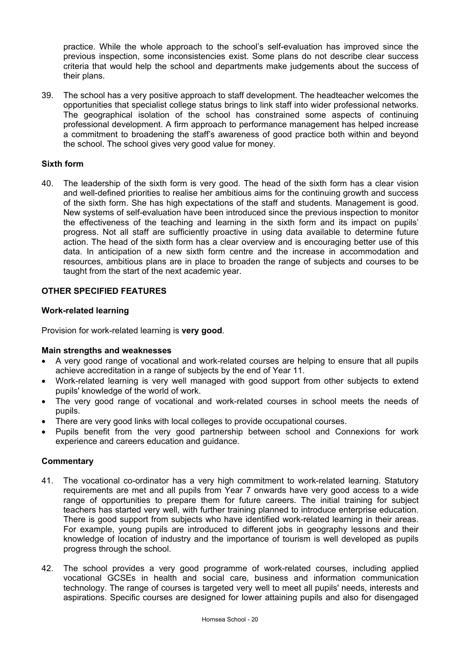practice. While the whole approach to the school's self-evaluation has improved since the previous inspection, some inconsistencies exist. Some plans do not describe clear success criteria that would help the school and departments make judgements about the success of their plans.

39. The school has a very positive approach to staff development. The headteacher welcomes the opportunities that specialist college status brings to link staff into wider professional networks. The geographical isolation of the school has constrained some aspects of continuing professional development. A firm approach to performance management has helped increase a commitment to broadening the staff's awareness of good practice both within and beyond the school. The school gives very good value for money.

# **Sixth form**

40. The leadership of the sixth form is very good. The head of the sixth form has a clear vision and well-defined priorities to realise her ambitious aims for the continuing growth and success of the sixth form. She has high expectations of the staff and students. Management is good. New systems of self-evaluation have been introduced since the previous inspection to monitor the effectiveness of the teaching and learning in the sixth form and its impact on pupils' progress. Not all staff are sufficiently proactive in using data available to determine future action. The head of the sixth form has a clear overview and is encouraging better use of this data. In anticipation of a new sixth form centre and the increase in accommodation and resources, ambitious plans are in place to broaden the range of subjects and courses to be taught from the start of the next academic year.

# **OTHER SPECIFIED FEATURES**

#### **Work-related learning**

Provision for work-related learning is **very good**.

#### **Main strengths and weaknesses**

- A very good range of vocational and work-related courses are helping to ensure that all pupils achieve accreditation in a range of subjects by the end of Year 11.
- Work-related learning is very well managed with good support from other subjects to extend pupils' knowledge of the world of work.
- The very good range of vocational and work-related courses in school meets the needs of pupils.
- There are very good links with local colleges to provide occupational courses.
- Pupils benefit from the very good partnership between school and Connexions for work experience and careers education and guidance.

- 41. The vocational co-ordinator has a very high commitment to work-related learning. Statutory requirements are met and all pupils from Year 7 onwards have very good access to a wide range of opportunities to prepare them for future careers. The initial training for subject teachers has started very well, with further training planned to introduce enterprise education. There is good support from subjects who have identified work-related learning in their areas. For example, young pupils are introduced to different jobs in geography lessons and their knowledge of location of industry and the importance of tourism is well developed as pupils progress through the school.
- 42. The school provides a very good programme of work-related courses, including applied vocational GCSEs in health and social care, business and information communication technology. The range of courses is targeted very well to meet all pupils' needs, interests and aspirations. Specific courses are designed for lower attaining pupils and also for disengaged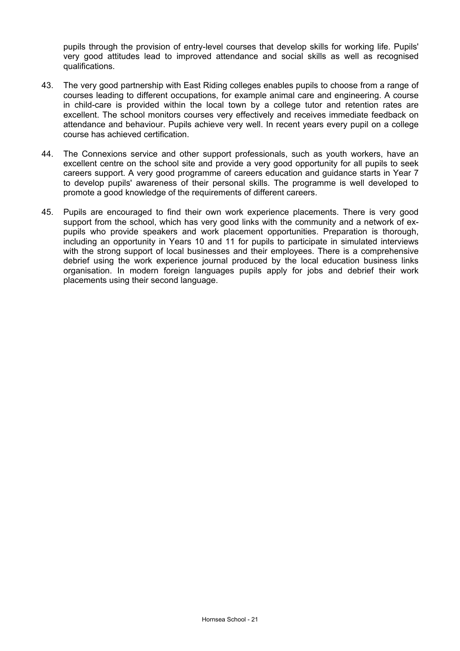pupils through the provision of entry-level courses that develop skills for working life. Pupils' very good attitudes lead to improved attendance and social skills as well as recognised qualifications.

- 43. The very good partnership with East Riding colleges enables pupils to choose from a range of courses leading to different occupations, for example animal care and engineering. A course in child-care is provided within the local town by a college tutor and retention rates are excellent. The school monitors courses very effectively and receives immediate feedback on attendance and behaviour. Pupils achieve very well. In recent years every pupil on a college course has achieved certification.
- 44. The Connexions service and other support professionals, such as youth workers, have an excellent centre on the school site and provide a very good opportunity for all pupils to seek careers support. A very good programme of careers education and guidance starts in Year 7 to develop pupils' awareness of their personal skills. The programme is well developed to promote a good knowledge of the requirements of different careers.
- 45. Pupils are encouraged to find their own work experience placements. There is very good support from the school, which has very good links with the community and a network of expupils who provide speakers and work placement opportunities. Preparation is thorough, including an opportunity in Years 10 and 11 for pupils to participate in simulated interviews with the strong support of local businesses and their employees. There is a comprehensive debrief using the work experience journal produced by the local education business links organisation. In modern foreign languages pupils apply for jobs and debrief their work placements using their second language.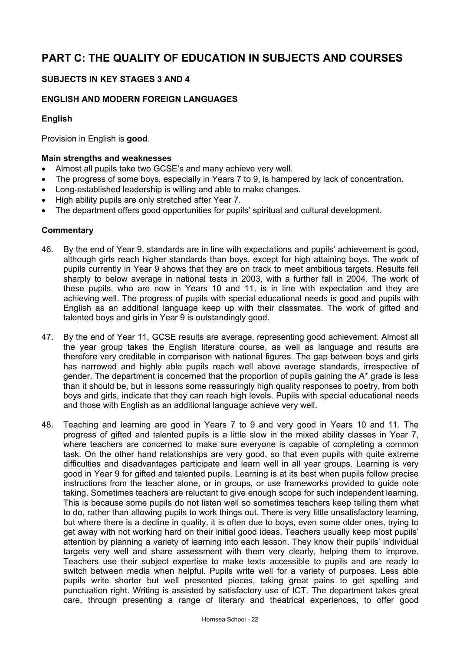# **PART C: THE QUALITY OF EDUCATION IN SUBJECTS AND COURSES**

# **SUBJECTS IN KEY STAGES 3 AND 4**

# **ENGLISH AND MODERN FOREIGN LANGUAGES**

# **English**

Provision in English is **good**.

#### **Main strengths and weaknesses**

- Almost all pupils take two GCSE's and many achieve very well.
- The progress of some boys, especially in Years 7 to 9, is hampered by lack of concentration.
- Long-established leadership is willing and able to make changes.
- High ability pupils are only stretched after Year 7.
- The department offers good opportunities for pupils' spiritual and cultural development.

- 46. By the end of Year 9, standards are in line with expectations and pupils' achievement is good, although girls reach higher standards than boys, except for high attaining boys. The work of pupils currently in Year 9 shows that they are on track to meet ambitious targets. Results fell sharply to below average in national tests in 2003, with a further fall in 2004. The work of these pupils, who are now in Years 10 and 11, is in line with expectation and they are achieving well. The progress of pupils with special educational needs is good and pupils with English as an additional language keep up with their classmates. The work of gifted and talented boys and girls in Year 9 is outstandingly good.
- 47. By the end of Year 11, GCSE results are average, representing good achievement. Almost all the year group takes the English literature course, as well as language and results are therefore very creditable in comparison with national figures. The gap between boys and girls has narrowed and highly able pupils reach well above average standards, irrespective of gender. The department is concerned that the proportion of pupils gaining the A\* grade is less than it should be, but in lessons some reassuringly high quality responses to poetry, from both boys and girls, indicate that they can reach high levels. Pupils with special educational needs and those with English as an additional language achieve very well.
- 48. Teaching and learning are good in Years 7 to 9 and very good in Years 10 and 11. The progress of gifted and talented pupils is a little slow in the mixed ability classes in Year 7, where teachers are concerned to make sure everyone is capable of completing a common task. On the other hand relationships are very good, so that even pupils with quite extreme difficulties and disadvantages participate and learn well in all year groups. Learning is very good in Year 9 for gifted and talented pupils. Learning is at its best when pupils follow precise instructions from the teacher alone, or in groups, or use frameworks provided to guide note taking. Sometimes teachers are reluctant to give enough scope for such independent learning. This is because some pupils do not listen well so sometimes teachers keep telling them what to do, rather than allowing pupils to work things out. There is very little unsatisfactory learning, but where there is a decline in quality, it is often due to boys, even some older ones, trying to get away with not working hard on their initial good ideas. Teachers usually keep most pupils' attention by planning a variety of learning into each lesson. They know their pupils' individual targets very well and share assessment with them very clearly, helping them to improve. Teachers use their subject expertise to make texts accessible to pupils and are ready to switch between media when helpful. Pupils write well for a variety of purposes. Less able pupils write shorter but well presented pieces, taking great pains to get spelling and punctuation right. Writing is assisted by satisfactory use of ICT. The department takes great care, through presenting a range of literary and theatrical experiences, to offer good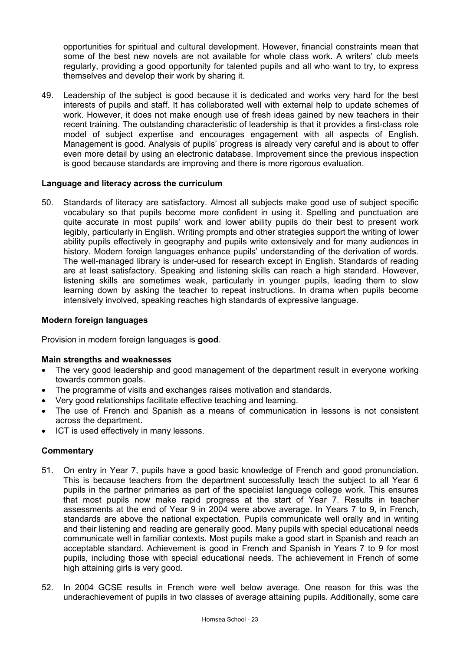opportunities for spiritual and cultural development. However, financial constraints mean that some of the best new novels are not available for whole class work. A writers' club meets regularly, providing a good opportunity for talented pupils and all who want to try, to express themselves and develop their work by sharing it.

49. Leadership of the subject is good because it is dedicated and works very hard for the best interests of pupils and staff. It has collaborated well with external help to update schemes of work. However, it does not make enough use of fresh ideas gained by new teachers in their recent training. The outstanding characteristic of leadership is that it provides a first-class role model of subject expertise and encourages engagement with all aspects of English. Management is good. Analysis of pupils' progress is already very careful and is about to offer even more detail by using an electronic database. Improvement since the previous inspection is good because standards are improving and there is more rigorous evaluation.

#### **Language and literacy across the curriculum**

50. Standards of literacy are satisfactory. Almost all subjects make good use of subject specific vocabulary so that pupils become more confident in using it. Spelling and punctuation are quite accurate in most pupils' work and lower ability pupils do their best to present work legibly, particularly in English. Writing prompts and other strategies support the writing of lower ability pupils effectively in geography and pupils write extensively and for many audiences in history. Modern foreign languages enhance pupils' understanding of the derivation of words. The well-managed library is under-used for research except in English. Standards of reading are at least satisfactory. Speaking and listening skills can reach a high standard. However, listening skills are sometimes weak, particularly in younger pupils, leading them to slow learning down by asking the teacher to repeat instructions. In drama when pupils become intensively involved, speaking reaches high standards of expressive language.

#### **Modern foreign languages**

Provision in modern foreign languages is **good**.

#### **Main strengths and weaknesses**

- The very good leadership and good management of the department result in everyone working towards common goals.
- The programme of visits and exchanges raises motivation and standards.
- Very good relationships facilitate effective teaching and learning.
- The use of French and Spanish as a means of communication in lessons is not consistent across the department.
- ICT is used effectively in many lessons.

- 51. On entry in Year 7, pupils have a good basic knowledge of French and good pronunciation. This is because teachers from the department successfully teach the subject to all Year 6 pupils in the partner primaries as part of the specialist language college work. This ensures that most pupils now make rapid progress at the start of Year 7. Results in teacher assessments at the end of Year 9 in 2004 were above average. In Years 7 to 9, in French, standards are above the national expectation. Pupils communicate well orally and in writing and their listening and reading are generally good. Many pupils with special educational needs communicate well in familiar contexts. Most pupils make a good start in Spanish and reach an acceptable standard. Achievement is good in French and Spanish in Years 7 to 9 for most pupils, including those with special educational needs. The achievement in French of some high attaining girls is very good.
- 52. In 2004 GCSE results in French were well below average. One reason for this was the underachievement of pupils in two classes of average attaining pupils. Additionally, some care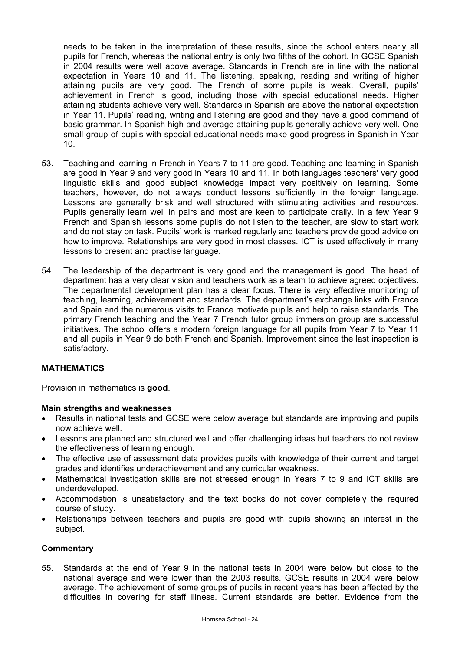needs to be taken in the interpretation of these results, since the school enters nearly all pupils for French, whereas the national entry is only two fifths of the cohort. In GCSE Spanish in 2004 results were well above average. Standards in French are in line with the national expectation in Years 10 and 11. The listening, speaking, reading and writing of higher attaining pupils are very good. The French of some pupils is weak. Overall, pupils' achievement in French is good, including those with special educational needs. Higher attaining students achieve very well. Standards in Spanish are above the national expectation in Year 11. Pupils' reading, writing and listening are good and they have a good command of basic grammar. In Spanish high and average attaining pupils generally achieve very well. One small group of pupils with special educational needs make good progress in Spanish in Year 10.

- 53. Teaching and learning in French in Years 7 to 11 are good. Teaching and learning in Spanish are good in Year 9 and very good in Years 10 and 11. In both languages teachers' very good linguistic skills and good subject knowledge impact very positively on learning. Some teachers, however, do not always conduct lessons sufficiently in the foreign language. Lessons are generally brisk and well structured with stimulating activities and resources. Pupils generally learn well in pairs and most are keen to participate orally. In a few Year 9 French and Spanish lessons some pupils do not listen to the teacher, are slow to start work and do not stay on task. Pupils' work is marked regularly and teachers provide good advice on how to improve. Relationships are very good in most classes. ICT is used effectively in many lessons to present and practise language.
- 54. The leadership of the department is very good and the management is good. The head of department has a very clear vision and teachers work as a team to achieve agreed objectives. The departmental development plan has a clear focus. There is very effective monitoring of teaching, learning, achievement and standards. The department's exchange links with France and Spain and the numerous visits to France motivate pupils and help to raise standards. The primary French teaching and the Year 7 French tutor group immersion group are successful initiatives. The school offers a modern foreign language for all pupils from Year 7 to Year 11 and all pupils in Year 9 do both French and Spanish. Improvement since the last inspection is satisfactory.

# **MATHEMATICS**

Provision in mathematics is **good**.

#### **Main strengths and weaknesses**

- Results in national tests and GCSE were below average but standards are improving and pupils now achieve well.
- Lessons are planned and structured well and offer challenging ideas but teachers do not review the effectiveness of learning enough.
- The effective use of assessment data provides pupils with knowledge of their current and target grades and identifies underachievement and any curricular weakness.
- Mathematical investigation skills are not stressed enough in Years 7 to 9 and ICT skills are underdeveloped.
- Accommodation is unsatisfactory and the text books do not cover completely the required course of study.
- Relationships between teachers and pupils are good with pupils showing an interest in the subject.

#### **Commentary**

55. Standards at the end of Year 9 in the national tests in 2004 were below but close to the national average and were lower than the 2003 results. GCSE results in 2004 were below average. The achievement of some groups of pupils in recent years has been affected by the difficulties in covering for staff illness. Current standards are better. Evidence from the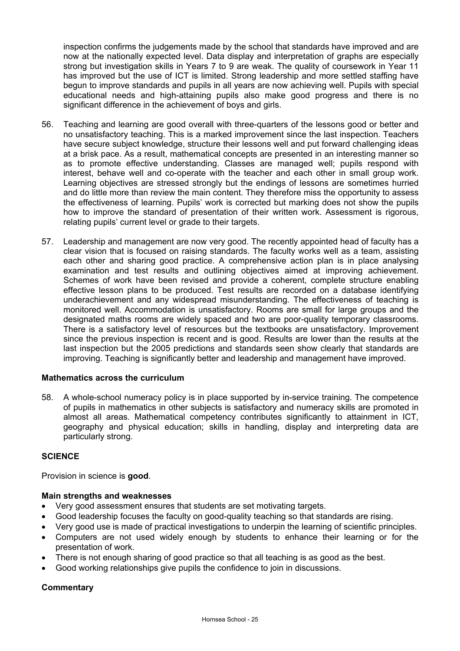inspection confirms the judgements made by the school that standards have improved and are now at the nationally expected level. Data display and interpretation of graphs are especially strong but investigation skills in Years 7 to 9 are weak. The quality of coursework in Year 11 has improved but the use of ICT is limited. Strong leadership and more settled staffing have begun to improve standards and pupils in all years are now achieving well. Pupils with special educational needs and high-attaining pupils also make good progress and there is no significant difference in the achievement of boys and girls.

- 56. Teaching and learning are good overall with three-quarters of the lessons good or better and no unsatisfactory teaching. This is a marked improvement since the last inspection. Teachers have secure subject knowledge, structure their lessons well and put forward challenging ideas at a brisk pace. As a result, mathematical concepts are presented in an interesting manner so as to promote effective understanding. Classes are managed well; pupils respond with interest, behave well and co-operate with the teacher and each other in small group work. Learning objectives are stressed strongly but the endings of lessons are sometimes hurried and do little more than review the main content. They therefore miss the opportunity to assess the effectiveness of learning. Pupils' work is corrected but marking does not show the pupils how to improve the standard of presentation of their written work. Assessment is rigorous, relating pupils' current level or grade to their targets.
- 57. Leadership and management are now very good. The recently appointed head of faculty has a clear vision that is focused on raising standards. The faculty works well as a team, assisting each other and sharing good practice. A comprehensive action plan is in place analysing examination and test results and outlining objectives aimed at improving achievement. Schemes of work have been revised and provide a coherent, complete structure enabling effective lesson plans to be produced. Test results are recorded on a database identifying underachievement and any widespread misunderstanding. The effectiveness of teaching is monitored well. Accommodation is unsatisfactory. Rooms are small for large groups and the designated maths rooms are widely spaced and two are poor-quality temporary classrooms. There is a satisfactory level of resources but the textbooks are unsatisfactory. Improvement since the previous inspection is recent and is good. Results are lower than the results at the last inspection but the 2005 predictions and standards seen show clearly that standards are improving. Teaching is significantly better and leadership and management have improved.

# **Mathematics across the curriculum**

58. A whole-school numeracy policy is in place supported by in-service training. The competence of pupils in mathematics in other subjects is satisfactory and numeracy skills are promoted in almost all areas. Mathematical competency contributes significantly to attainment in ICT, geography and physical education; skills in handling, display and interpreting data are particularly strong.

#### **SCIENCE**

Provision in science is **good**.

#### **Main strengths and weaknesses**

- Very good assessment ensures that students are set motivating targets.
- Good leadership focuses the faculty on good-quality teaching so that standards are rising.
- Very good use is made of practical investigations to underpin the learning of scientific principles.
- Computers are not used widely enough by students to enhance their learning or for the presentation of work.
- There is not enough sharing of good practice so that all teaching is as good as the best.
- Good working relationships give pupils the confidence to join in discussions.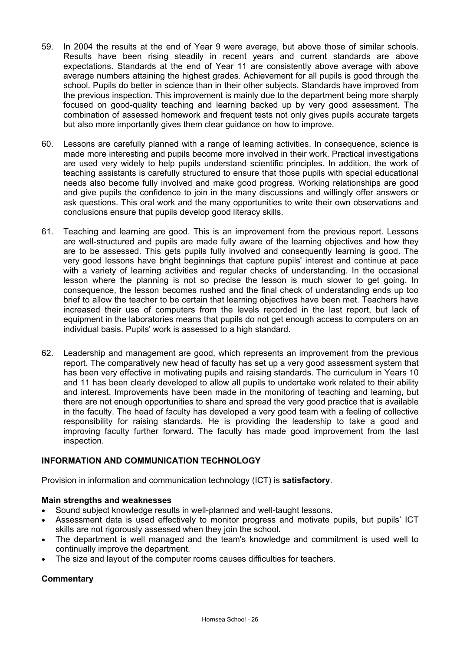- 59. In 2004 the results at the end of Year 9 were average, but above those of similar schools. Results have been rising steadily in recent years and current standards are above expectations. Standards at the end of Year 11 are consistently above average with above average numbers attaining the highest grades. Achievement for all pupils is good through the school. Pupils do better in science than in their other subjects. Standards have improved from the previous inspection. This improvement is mainly due to the department being more sharply focused on good-quality teaching and learning backed up by very good assessment. The combination of assessed homework and frequent tests not only gives pupils accurate targets but also more importantly gives them clear guidance on how to improve.
- 60. Lessons are carefully planned with a range of learning activities. In consequence, science is made more interesting and pupils become more involved in their work. Practical investigations are used very widely to help pupils understand scientific principles. In addition, the work of teaching assistants is carefully structured to ensure that those pupils with special educational needs also become fully involved and make good progress. Working relationships are good and give pupils the confidence to join in the many discussions and willingly offer answers or ask questions. This oral work and the many opportunities to write their own observations and conclusions ensure that pupils develop good literacy skills.
- 61. Teaching and learning are good. This is an improvement from the previous report. Lessons are well-structured and pupils are made fully aware of the learning objectives and how they are to be assessed. This gets pupils fully involved and consequently learning is good. The very good lessons have bright beginnings that capture pupils' interest and continue at pace with a variety of learning activities and regular checks of understanding. In the occasional lesson where the planning is not so precise the lesson is much slower to get going. In consequence, the lesson becomes rushed and the final check of understanding ends up too brief to allow the teacher to be certain that learning objectives have been met. Teachers have increased their use of computers from the levels recorded in the last report, but lack of equipment in the laboratories means that pupils do not get enough access to computers on an individual basis. Pupils' work is assessed to a high standard.
- 62. Leadership and management are good, which represents an improvement from the previous report. The comparatively new head of faculty has set up a very good assessment system that has been very effective in motivating pupils and raising standards. The curriculum in Years 10 and 11 has been clearly developed to allow all pupils to undertake work related to their ability and interest. Improvements have been made in the monitoring of teaching and learning, but there are not enough opportunities to share and spread the very good practice that is available in the faculty. The head of faculty has developed a very good team with a feeling of collective responsibility for raising standards. He is providing the leadership to take a good and improving faculty further forward. The faculty has made good improvement from the last inspection.

# **INFORMATION AND COMMUNICATION TECHNOLOGY**

Provision in information and communication technology (ICT) is **satisfactory**.

# **Main strengths and weaknesses**

- Sound subject knowledge results in well-planned and well-taught lessons.
- Assessment data is used effectively to monitor progress and motivate pupils, but pupils' ICT skills are not rigorously assessed when they join the school.
- The department is well managed and the team's knowledge and commitment is used well to continually improve the department.
- The size and layout of the computer rooms causes difficulties for teachers.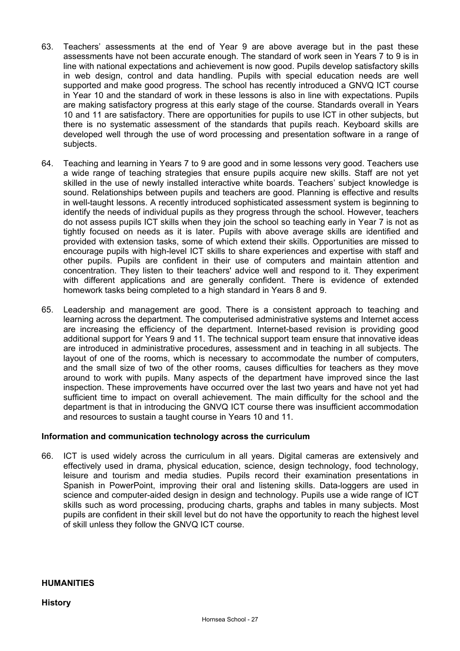- 63. Teachers' assessments at the end of Year 9 are above average but in the past these assessments have not been accurate enough. The standard of work seen in Years 7 to 9 is in line with national expectations and achievement is now good. Pupils develop satisfactory skills in web design, control and data handling. Pupils with special education needs are well supported and make good progress. The school has recently introduced a GNVQ ICT course in Year 10 and the standard of work in these lessons is also in line with expectations. Pupils are making satisfactory progress at this early stage of the course. Standards overall in Years 10 and 11 are satisfactory. There are opportunities for pupils to use ICT in other subjects, but there is no systematic assessment of the standards that pupils reach. Keyboard skills are developed well through the use of word processing and presentation software in a range of subjects.
- 64. Teaching and learning in Years 7 to 9 are good and in some lessons very good. Teachers use a wide range of teaching strategies that ensure pupils acquire new skills. Staff are not yet skilled in the use of newly installed interactive white boards. Teachers' subject knowledge is sound. Relationships between pupils and teachers are good. Planning is effective and results in well-taught lessons. A recently introduced sophisticated assessment system is beginning to identify the needs of individual pupils as they progress through the school. However, teachers do not assess pupils ICT skills when they join the school so teaching early in Year 7 is not as tightly focused on needs as it is later. Pupils with above average skills are identified and provided with extension tasks, some of which extend their skills. Opportunities are missed to encourage pupils with high-level ICT skills to share experiences and expertise with staff and other pupils. Pupils are confident in their use of computers and maintain attention and concentration. They listen to their teachers' advice well and respond to it. They experiment with different applications and are generally confident. There is evidence of extended homework tasks being completed to a high standard in Years 8 and 9.
- 65. Leadership and management are good. There is a consistent approach to teaching and learning across the department. The computerised administrative systems and Internet access are increasing the efficiency of the department. Internet-based revision is providing good additional support for Years 9 and 11. The technical support team ensure that innovative ideas are introduced in administrative procedures, assessment and in teaching in all subjects. The layout of one of the rooms, which is necessary to accommodate the number of computers, and the small size of two of the other rooms, causes difficulties for teachers as they move around to work with pupils. Many aspects of the department have improved since the last inspection. These improvements have occurred over the last two years and have not yet had sufficient time to impact on overall achievement. The main difficulty for the school and the department is that in introducing the GNVQ ICT course there was insufficient accommodation and resources to sustain a taught course in Years 10 and 11.

#### **Information and communication technology across the curriculum**

66. ICT is used widely across the curriculum in all years. Digital cameras are extensively and effectively used in drama, physical education, science, design technology, food technology, leisure and tourism and media studies. Pupils record their examination presentations in Spanish in PowerPoint, improving their oral and listening skills. Data-loggers are used in science and computer-aided design in design and technology. Pupils use a wide range of ICT skills such as word processing, producing charts, graphs and tables in many subjects. Most pupils are confident in their skill level but do not have the opportunity to reach the highest level of skill unless they follow the GNVQ ICT course.

#### **HUMANITIES**

#### **History**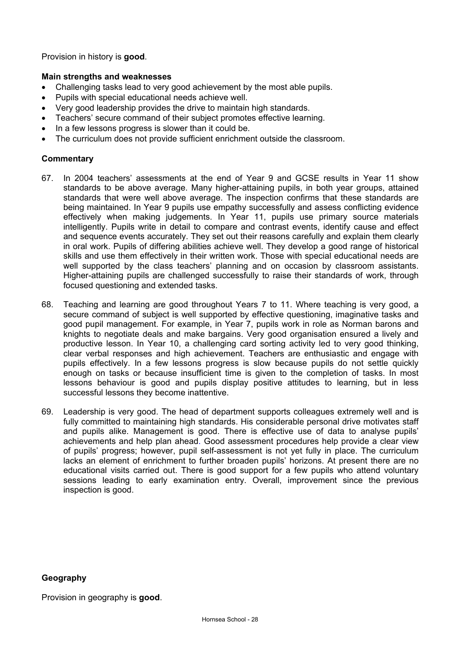Provision in history is **good**.

# **Main strengths and weaknesses**

- Challenging tasks lead to very good achievement by the most able pupils.
- Pupils with special educational needs achieve well.
- Very good leadership provides the drive to maintain high standards.
- Teachers' secure command of their subject promotes effective learning.
- In a few lessons progress is slower than it could be.
- The curriculum does not provide sufficient enrichment outside the classroom.

# **Commentary**

- 67. In 2004 teachers' assessments at the end of Year 9 and GCSE results in Year 11 show standards to be above average. Many higher-attaining pupils, in both year groups, attained standards that were well above average. The inspection confirms that these standards are being maintained. In Year 9 pupils use empathy successfully and assess conflicting evidence effectively when making judgements. In Year 11, pupils use primary source materials intelligently. Pupils write in detail to compare and contrast events, identify cause and effect and sequence events accurately. They set out their reasons carefully and explain them clearly in oral work. Pupils of differing abilities achieve well. They develop a good range of historical skills and use them effectively in their written work. Those with special educational needs are well supported by the class teachers' planning and on occasion by classroom assistants. Higher-attaining pupils are challenged successfully to raise their standards of work, through focused questioning and extended tasks.
- 68. Teaching and learning are good throughout Years 7 to 11. Where teaching is very good, a secure command of subject is well supported by effective questioning, imaginative tasks and good pupil management. For example, in Year 7, pupils work in role as Norman barons and knights to negotiate deals and make bargains. Very good organisation ensured a lively and productive lesson. In Year 10, a challenging card sorting activity led to very good thinking, clear verbal responses and high achievement. Teachers are enthusiastic and engage with pupils effectively. In a few lessons progress is slow because pupils do not settle quickly enough on tasks or because insufficient time is given to the completion of tasks. In most lessons behaviour is good and pupils display positive attitudes to learning, but in less successful lessons they become inattentive.
- 69. Leadership is very good. The head of department supports colleagues extremely well and is fully committed to maintaining high standards. His considerable personal drive motivates staff and pupils alike. Management is good. There is effective use of data to analyse pupils' achievements and help plan ahead. Good assessment procedures help provide a clear view of pupils' progress; however, pupil self-assessment is not yet fully in place. The curriculum lacks an element of enrichment to further broaden pupils' horizons. At present there are no educational visits carried out. There is good support for a few pupils who attend voluntary sessions leading to early examination entry. Overall, improvement since the previous inspection is good.

#### **Geography**

Provision in geography is **good**.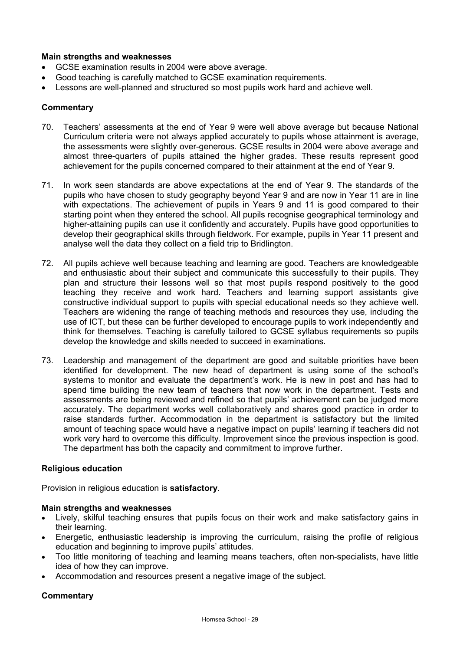# **Main strengths and weaknesses**

- GCSE examination results in 2004 were above average.
- Good teaching is carefully matched to GCSE examination requirements.
- Lessons are well-planned and structured so most pupils work hard and achieve well.

#### **Commentary**

- 70. Teachers' assessments at the end of Year 9 were well above average but because National Curriculum criteria were not always applied accurately to pupils whose attainment is average, the assessments were slightly over-generous. GCSE results in 2004 were above average and almost three-quarters of pupils attained the higher grades. These results represent good achievement for the pupils concerned compared to their attainment at the end of Year 9.
- 71. In work seen standards are above expectations at the end of Year 9. The standards of the pupils who have chosen to study geography beyond Year 9 and are now in Year 11 are in line with expectations. The achievement of pupils in Years 9 and 11 is good compared to their starting point when they entered the school. All pupils recognise geographical terminology and higher-attaining pupils can use it confidently and accurately. Pupils have good opportunities to develop their geographical skills through fieldwork. For example, pupils in Year 11 present and analyse well the data they collect on a field trip to Bridlington.
- 72. All pupils achieve well because teaching and learning are good. Teachers are knowledgeable and enthusiastic about their subject and communicate this successfully to their pupils. They plan and structure their lessons well so that most pupils respond positively to the good teaching they receive and work hard. Teachers and learning support assistants give constructive individual support to pupils with special educational needs so they achieve well. Teachers are widening the range of teaching methods and resources they use, including the use of ICT, but these can be further developed to encourage pupils to work independently and think for themselves. Teaching is carefully tailored to GCSE syllabus requirements so pupils develop the knowledge and skills needed to succeed in examinations.
- 73. Leadership and management of the department are good and suitable priorities have been identified for development. The new head of department is using some of the school's systems to monitor and evaluate the department's work. He is new in post and has had to spend time building the new team of teachers that now work in the department. Tests and assessments are being reviewed and refined so that pupils' achievement can be judged more accurately. The department works well collaboratively and shares good practice in order to raise standards further. Accommodation in the department is satisfactory but the limited amount of teaching space would have a negative impact on pupils' learning if teachers did not work very hard to overcome this difficulty. Improvement since the previous inspection is good. The department has both the capacity and commitment to improve further.

#### **Religious education**

Provision in religious education is **satisfactory**.

#### **Main strengths and weaknesses**

- Lively, skilful teaching ensures that pupils focus on their work and make satisfactory gains in their learning.
- Energetic, enthusiastic leadership is improving the curriculum, raising the profile of religious education and beginning to improve pupils' attitudes.
- Too little monitoring of teaching and learning means teachers, often non-specialists, have little idea of how they can improve.
- Accommodation and resources present a negative image of the subject.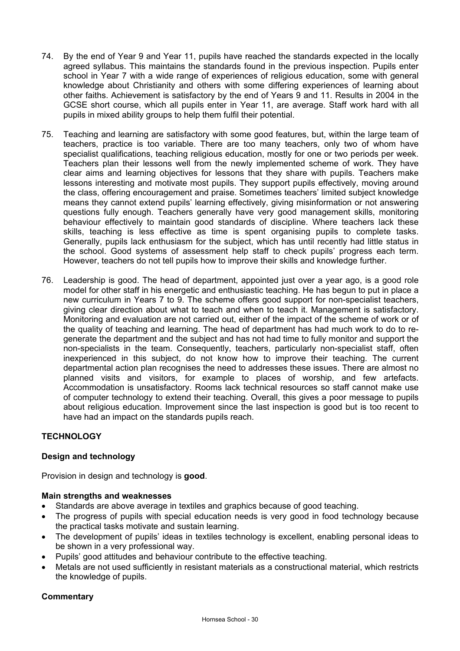- 74. By the end of Year 9 and Year 11, pupils have reached the standards expected in the locally agreed syllabus. This maintains the standards found in the previous inspection. Pupils enter school in Year 7 with a wide range of experiences of religious education, some with general knowledge about Christianity and others with some differing experiences of learning about other faiths. Achievement is satisfactory by the end of Years 9 and 11. Results in 2004 in the GCSE short course, which all pupils enter in Year 11, are average. Staff work hard with all pupils in mixed ability groups to help them fulfil their potential.
- 75. Teaching and learning are satisfactory with some good features, but, within the large team of teachers, practice is too variable. There are too many teachers, only two of whom have specialist qualifications, teaching religious education, mostly for one or two periods per week. Teachers plan their lessons well from the newly implemented scheme of work. They have clear aims and learning objectives for lessons that they share with pupils. Teachers make lessons interesting and motivate most pupils. They support pupils effectively, moving around the class, offering encouragement and praise. Sometimes teachers' limited subject knowledge means they cannot extend pupils' learning effectively, giving misinformation or not answering questions fully enough. Teachers generally have very good management skills, monitoring behaviour effectively to maintain good standards of discipline. Where teachers lack these skills, teaching is less effective as time is spent organising pupils to complete tasks. Generally, pupils lack enthusiasm for the subject, which has until recently had little status in the school. Good systems of assessment help staff to check pupils' progress each term. However, teachers do not tell pupils how to improve their skills and knowledge further.
- 76. Leadership is good. The head of department, appointed just over a year ago, is a good role model for other staff in his energetic and enthusiastic teaching. He has begun to put in place a new curriculum in Years 7 to 9. The scheme offers good support for non-specialist teachers, giving clear direction about what to teach and when to teach it. Management is satisfactory. Monitoring and evaluation are not carried out, either of the impact of the scheme of work or of the quality of teaching and learning. The head of department has had much work to do to regenerate the department and the subject and has not had time to fully monitor and support the non-specialists in the team. Consequently, teachers, particularly non-specialist staff, often inexperienced in this subject, do not know how to improve their teaching. The current departmental action plan recognises the need to addresses these issues. There are almost no planned visits and visitors, for example to places of worship, and few artefacts. Accommodation is unsatisfactory. Rooms lack technical resources so staff cannot make use of computer technology to extend their teaching. Overall, this gives a poor message to pupils about religious education. Improvement since the last inspection is good but is too recent to have had an impact on the standards pupils reach.

# **TECHNOLOGY**

# **Design and technology**

Provision in design and technology is **good**.

# **Main strengths and weaknesses**

- Standards are above average in textiles and graphics because of good teaching.
- The progress of pupils with special education needs is very good in food technology because the practical tasks motivate and sustain learning.
- The development of pupils' ideas in textiles technology is excellent, enabling personal ideas to be shown in a very professional way.
- Pupils' good attitudes and behaviour contribute to the effective teaching.
- Metals are not used sufficiently in resistant materials as a constructional material, which restricts the knowledge of pupils.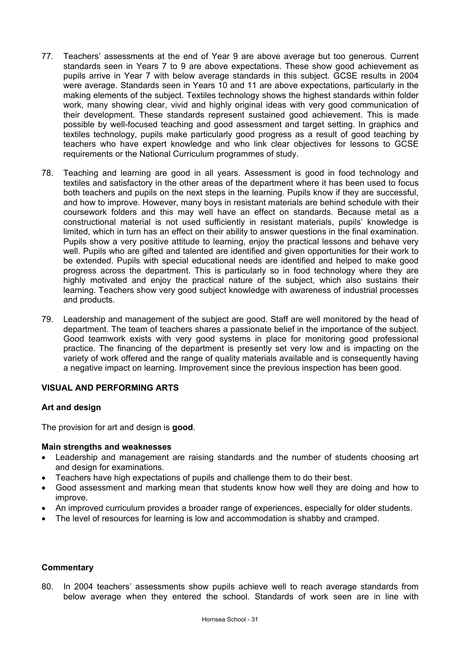- 77. Teachers' assessments at the end of Year 9 are above average but too generous. Current standards seen in Years 7 to 9 are above expectations. These show good achievement as pupils arrive in Year 7 with below average standards in this subject. GCSE results in 2004 were average. Standards seen in Years 10 and 11 are above expectations, particularly in the making elements of the subject. Textiles technology shows the highest standards within folder work, many showing clear, vivid and highly original ideas with very good communication of their development. These standards represent sustained good achievement. This is made possible by well-focused teaching and good assessment and target setting. In graphics and textiles technology, pupils make particularly good progress as a result of good teaching by teachers who have expert knowledge and who link clear objectives for lessons to GCSE requirements or the National Curriculum programmes of study.
- 78. Teaching and learning are good in all years. Assessment is good in food technology and textiles and satisfactory in the other areas of the department where it has been used to focus both teachers and pupils on the next steps in the learning. Pupils know if they are successful, and how to improve. However, many boys in resistant materials are behind schedule with their coursework folders and this may well have an effect on standards. Because metal as a constructional material is not used sufficiently in resistant materials, pupils' knowledge is limited, which in turn has an effect on their ability to answer questions in the final examination. Pupils show a very positive attitude to learning, enjoy the practical lessons and behave very well. Pupils who are gifted and talented are identified and given opportunities for their work to be extended. Pupils with special educational needs are identified and helped to make good progress across the department. This is particularly so in food technology where they are highly motivated and enjoy the practical nature of the subject, which also sustains their learning. Teachers show very good subject knowledge with awareness of industrial processes and products.
- 79. Leadership and management of the subject are good. Staff are well monitored by the head of department. The team of teachers shares a passionate belief in the importance of the subject. Good teamwork exists with very good systems in place for monitoring good professional practice. The financing of the department is presently set very low and is impacting on the variety of work offered and the range of quality materials available and is consequently having a negative impact on learning. Improvement since the previous inspection has been good.

# **VISUAL AND PERFORMING ARTS**

#### **Art and design**

The provision for art and design is **good**.

#### **Main strengths and weaknesses**

- Leadership and management are raising standards and the number of students choosing art and design for examinations.
- Teachers have high expectations of pupils and challenge them to do their best.
- Good assessment and marking mean that students know how well they are doing and how to improve.
- An improved curriculum provides a broader range of experiences, especially for older students.
- The level of resources for learning is low and accommodation is shabby and cramped.

#### **Commentary**

80. In 2004 teachers' assessments show pupils achieve well to reach average standards from below average when they entered the school. Standards of work seen are in line with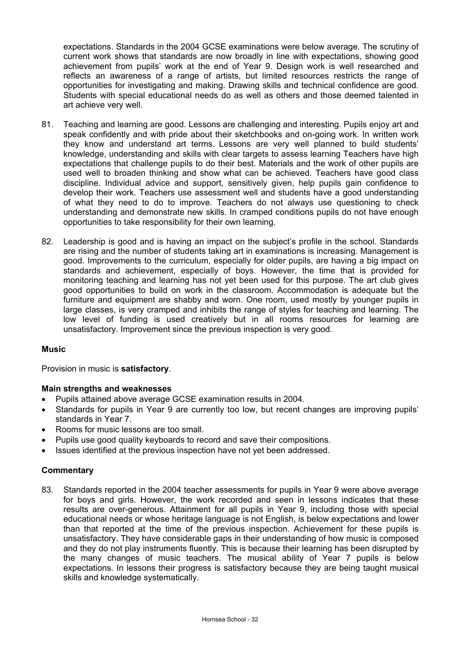expectations. Standards in the 2004 GCSE examinations were below average. The scrutiny of current work shows that standards are now broadly in line with expectations, showing good achievement from pupils' work at the end of Year 9. Design work is well researched and reflects an awareness of a range of artists, but limited resources restricts the range of opportunities for investigating and making. Drawing skills and technical confidence are good. Students with special educational needs do as well as others and those deemed talented in art achieve very well.

- 81. Teaching and learning are good. Lessons are challenging and interesting. Pupils enjoy art and speak confidently and with pride about their sketchbooks and on-going work. In written work they know and understand art terms. Lessons are very well planned to build students' knowledge, understanding and skills with clear targets to assess learning Teachers have high expectations that challenge pupils to do their best. Materials and the work of other pupils are used well to broaden thinking and show what can be achieved. Teachers have good class discipline. Individual advice and support, sensitively given, help pupils gain confidence to develop their work. Teachers use assessment well and students have a good understanding of what they need to do to improve. Teachers do not always use questioning to check understanding and demonstrate new skills. In cramped conditions pupils do not have enough opportunities to take responsibility for their own learning.
- 82. Leadership is good and is having an impact on the subject's profile in the school. Standards are rising and the number of students taking art in examinations is increasing. Management is good. Improvements to the curriculum, especially for older pupils, are having a big impact on standards and achievement, especially of boys. However, the time that is provided for monitoring teaching and learning has not yet been used for this purpose. The art club gives good opportunities to build on work in the classroom. Accommodation is adequate but the furniture and equipment are shabby and worn. One room, used mostly by younger pupils in large classes, is very cramped and inhibits the range of styles for teaching and learning. The low level of funding is used creatively but in all rooms resources for learning are unsatisfactory. Improvement since the previous inspection is very good.

# **Music**

Provision in music is **satisfactory**.

# **Main strengths and weaknesses**

- Pupils attained above average GCSE examination results in 2004.
- Standards for pupils in Year 9 are currently too low, but recent changes are improving pupils' standards in Year 7.
- Rooms for music lessons are too small.
- Pupils use good quality keyboards to record and save their compositions.
- Issues identified at the previous inspection have not yet been addressed.

# **Commentary**

83. Standards reported in the 2004 teacher assessments for pupils in Year 9 were above average for boys and girls. However, the work recorded and seen in lessons indicates that these results are over-generous. Attainment for all pupils in Year 9, including those with special educational needs or whose heritage language is not English, is below expectations and lower than that reported at the time of the previous inspection. Achievement for these pupils is unsatisfactory. They have considerable gaps in their understanding of how music is composed and they do not play instruments fluently. This is because their learning has been disrupted by the many changes of music teachers. The musical ability of Year 7 pupils is below expectations. In lessons their progress is satisfactory because they are being taught musical skills and knowledge systematically.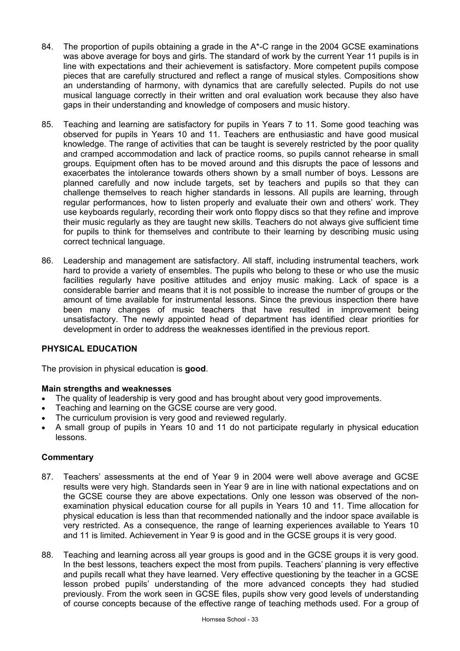- 84. The proportion of pupils obtaining a grade in the  $A^*$ -C range in the 2004 GCSE examinations was above average for boys and girls. The standard of work by the current Year 11 pupils is in line with expectations and their achievement is satisfactory. More competent pupils compose pieces that are carefully structured and reflect a range of musical styles. Compositions show an understanding of harmony, with dynamics that are carefully selected. Pupils do not use musical language correctly in their written and oral evaluation work because they also have gaps in their understanding and knowledge of composers and music history.
- 85. Teaching and learning are satisfactory for pupils in Years 7 to 11. Some good teaching was observed for pupils in Years 10 and 11. Teachers are enthusiastic and have good musical knowledge. The range of activities that can be taught is severely restricted by the poor quality and cramped accommodation and lack of practice rooms, so pupils cannot rehearse in small groups. Equipment often has to be moved around and this disrupts the pace of lessons and exacerbates the intolerance towards others shown by a small number of boys. Lessons are planned carefully and now include targets, set by teachers and pupils so that they can challenge themselves to reach higher standards in lessons. All pupils are learning, through regular performances, how to listen properly and evaluate their own and others' work. They use keyboards regularly, recording their work onto floppy discs so that they refine and improve their music regularly as they are taught new skills. Teachers do not always give sufficient time for pupils to think for themselves and contribute to their learning by describing music using correct technical language.
- 86. Leadership and management are satisfactory. All staff, including instrumental teachers, work hard to provide a variety of ensembles. The pupils who belong to these or who use the music facilities regularly have positive attitudes and enjoy music making. Lack of space is a considerable barrier and means that it is not possible to increase the number of groups or the amount of time available for instrumental lessons. Since the previous inspection there have been many changes of music teachers that have resulted in improvement being unsatisfactory. The newly appointed head of department has identified clear priorities for development in order to address the weaknesses identified in the previous report.

# **PHYSICAL EDUCATION**

The provision in physical education is **good**.

# **Main strengths and weaknesses**

- The quality of leadership is very good and has brought about very good improvements.
- Teaching and learning on the GCSE course are very good.
- The curriculum provision is very good and reviewed regularly.
- A small group of pupils in Years 10 and 11 do not participate regularly in physical education lessons.

- 87. Teachers' assessments at the end of Year 9 in 2004 were well above average and GCSE results were very high. Standards seen in Year 9 are in line with national expectations and on the GCSE course they are above expectations. Only one lesson was observed of the nonexamination physical education course for all pupils in Years 10 and 11. Time allocation for physical education is less than that recommended nationally and the indoor space available is very restricted. As a consequence, the range of learning experiences available to Years 10 and 11 is limited. Achievement in Year 9 is good and in the GCSE groups it is very good.
- 88. Teaching and learning across all year groups is good and in the GCSE groups it is very good. In the best lessons, teachers expect the most from pupils. Teachers' planning is very effective and pupils recall what they have learned. Very effective questioning by the teacher in a GCSE lesson probed pupils' understanding of the more advanced concepts they had studied previously. From the work seen in GCSE files, pupils show very good levels of understanding of course concepts because of the effective range of teaching methods used. For a group of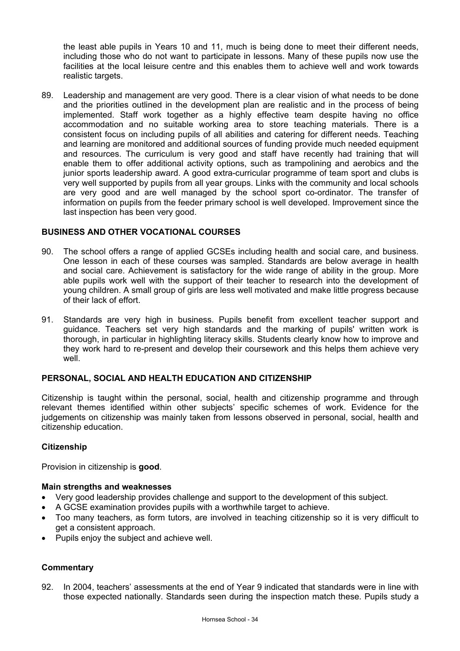the least able pupils in Years 10 and 11, much is being done to meet their different needs, including those who do not want to participate in lessons. Many of these pupils now use the facilities at the local leisure centre and this enables them to achieve well and work towards realistic targets.

89. Leadership and management are very good. There is a clear vision of what needs to be done and the priorities outlined in the development plan are realistic and in the process of being implemented. Staff work together as a highly effective team despite having no office accommodation and no suitable working area to store teaching materials. There is a consistent focus on including pupils of all abilities and catering for different needs. Teaching and learning are monitored and additional sources of funding provide much needed equipment and resources. The curriculum is very good and staff have recently had training that will enable them to offer additional activity options, such as trampolining and aerobics and the junior sports leadership award. A good extra-curricular programme of team sport and clubs is very well supported by pupils from all year groups. Links with the community and local schools are very good and are well managed by the school sport co-ordinator. The transfer of information on pupils from the feeder primary school is well developed. Improvement since the last inspection has been very good.

# **BUSINESS AND OTHER VOCATIONAL COURSES**

- 90. The school offers a range of applied GCSEs including health and social care, and business. One lesson in each of these courses was sampled. Standards are below average in health and social care. Achievement is satisfactory for the wide range of ability in the group. More able pupils work well with the support of their teacher to research into the development of young children. A small group of girls are less well motivated and make little progress because of their lack of effort.
- 91. Standards are very high in business. Pupils benefit from excellent teacher support and guidance. Teachers set very high standards and the marking of pupils' written work is thorough, in particular in highlighting literacy skills. Students clearly know how to improve and they work hard to re-present and develop their coursework and this helps them achieve very well.

#### **PERSONAL, SOCIAL AND HEALTH EDUCATION AND CITIZENSHIP**

Citizenship is taught within the personal, social, health and citizenship programme and through relevant themes identified within other subjects' specific schemes of work. Evidence for the judgements on citizenship was mainly taken from lessons observed in personal, social, health and citizenship education.

#### **Citizenship**

Provision in citizenship is **good**.

#### **Main strengths and weaknesses**

- Very good leadership provides challenge and support to the development of this subject.
- A GCSE examination provides pupils with a worthwhile target to achieve.
- Too many teachers, as form tutors, are involved in teaching citizenship so it is very difficult to get a consistent approach.
- Pupils enjoy the subject and achieve well.

# **Commentary**

92. In 2004, teachers' assessments at the end of Year 9 indicated that standards were in line with those expected nationally. Standards seen during the inspection match these. Pupils study a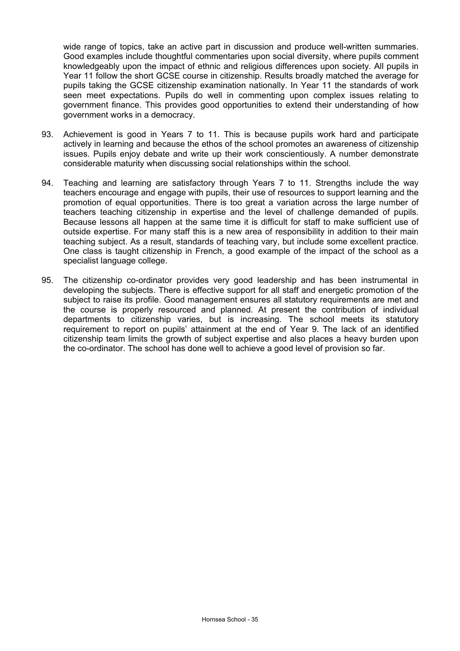wide range of topics, take an active part in discussion and produce well-written summaries. Good examples include thoughtful commentaries upon social diversity, where pupils comment knowledgeably upon the impact of ethnic and religious differences upon society. All pupils in Year 11 follow the short GCSE course in citizenship. Results broadly matched the average for pupils taking the GCSE citizenship examination nationally. In Year 11 the standards of work seen meet expectations. Pupils do well in commenting upon complex issues relating to government finance. This provides good opportunities to extend their understanding of how government works in a democracy.

- 93. Achievement is good in Years 7 to 11. This is because pupils work hard and participate actively in learning and because the ethos of the school promotes an awareness of citizenship issues. Pupils enjoy debate and write up their work conscientiously. A number demonstrate considerable maturity when discussing social relationships within the school.
- 94. Teaching and learning are satisfactory through Years 7 to 11. Strengths include the way teachers encourage and engage with pupils, their use of resources to support learning and the promotion of equal opportunities. There is too great a variation across the large number of teachers teaching citizenship in expertise and the level of challenge demanded of pupils. Because lessons all happen at the same time it is difficult for staff to make sufficient use of outside expertise. For many staff this is a new area of responsibility in addition to their main teaching subject. As a result, standards of teaching vary, but include some excellent practice. One class is taught citizenship in French, a good example of the impact of the school as a specialist language college.
- 95. The citizenship co-ordinator provides very good leadership and has been instrumental in developing the subjects. There is effective support for all staff and energetic promotion of the subject to raise its profile. Good management ensures all statutory requirements are met and the course is properly resourced and planned. At present the contribution of individual departments to citizenship varies, but is increasing. The school meets its statutory requirement to report on pupils' attainment at the end of Year 9. The lack of an identified citizenship team limits the growth of subject expertise and also places a heavy burden upon the co-ordinator. The school has done well to achieve a good level of provision so far.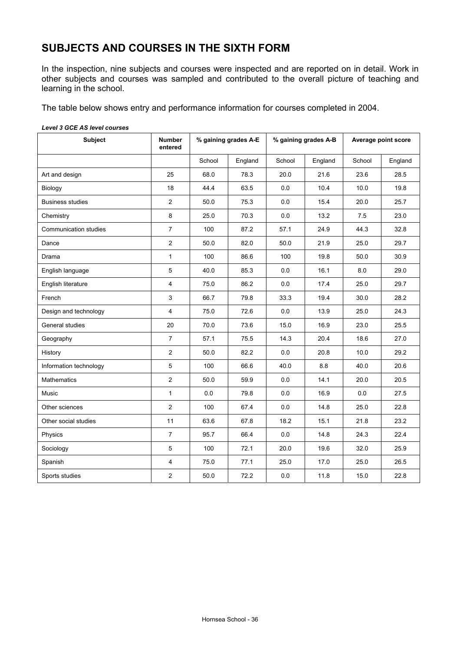# **SUBJECTS AND COURSES IN THE SIXTH FORM**

In the inspection, nine subjects and courses were inspected and are reported on in detail. Work in other subjects and courses was sampled and contributed to the overall picture of teaching and learning in the school.

The table below shows entry and performance information for courses completed in 2004.

|  | Level 3 GCE AS level courses |
|--|------------------------------|
|  |                              |

| <b>Subject</b>          | <b>Number</b><br>entered | % gaining grades A-E |      | % gaining grades A-B |         | Average point score |         |
|-------------------------|--------------------------|----------------------|------|----------------------|---------|---------------------|---------|
|                         |                          | School<br>England    |      | School               | England | School              | England |
| Art and design          | 25                       | 68.0                 | 78.3 | 20.0                 | 21.6    | 23.6                | 28.5    |
| Biology                 | 18                       | 44.4                 | 63.5 | 0.0                  | 10.4    | 10.0                | 19.8    |
| <b>Business studies</b> | $\overline{2}$           | 50.0                 | 75.3 | 0.0                  | 15.4    | 20.0                | 25.7    |
| Chemistry               | 8                        | 25.0                 | 70.3 | 0.0                  | 13.2    | 7.5                 | 23.0    |
| Communication studies   | $\overline{7}$           | 100                  | 87.2 | 57.1                 | 24.9    | 44.3                | 32.8    |
| Dance                   | $\overline{2}$           | 50.0                 | 82.0 | 50.0                 | 21.9    | 25.0                | 29.7    |
| Drama                   | $\mathbf{1}$             | 100                  | 86.6 | 100                  | 19.8    | 50.0                | 30.9    |
| English language        | 5                        | 40.0                 | 85.3 | 0.0                  | 16.1    | 8.0                 | 29.0    |
| English literature      | $\overline{4}$           | 75.0                 | 86.2 | 0.0                  | 17.4    | 25.0                | 29.7    |
| French                  | 3                        | 66.7                 | 79.8 | 33.3                 | 19.4    | 30.0                | 28.2    |
| Design and technology   | $\overline{4}$           | 75.0                 | 72.6 | 0.0                  | 13.9    | 25.0                | 24.3    |
| General studies         | 20                       | 70.0                 | 73.6 | 15.0                 | 16.9    | 23.0                | 25.5    |
| Geography               | $\overline{7}$           | 57.1                 | 75.5 | 14.3                 | 20.4    | 18.6                | 27.0    |
| History                 | $\overline{2}$           | 50.0                 | 82.2 | 0.0                  | 20.8    | 10.0                | 29.2    |
| Information technology  | $5\phantom{.0}$          | 100                  | 66.6 | 40.0                 | 8.8     | 40.0                | 20.6    |
| <b>Mathematics</b>      | $\overline{2}$           | 50.0                 | 59.9 | 0.0                  | 14.1    | 20.0                | 20.5    |
| Music                   | $\mathbf{1}$             | 0.0                  | 79.8 | 0.0                  | 16.9    | 0.0                 | 27.5    |
| Other sciences          | $\overline{2}$           | 100                  | 67.4 | 0.0                  | 14.8    | 25.0                | 22.8    |
| Other social studies    | 11                       | 63.6                 | 67.8 | 18.2                 | 15.1    | 21.8                | 23.2    |
| Physics                 | $\overline{7}$           | 95.7                 | 66.4 | 0.0                  | 14.8    | 24.3                | 22.4    |
| Sociology               | 5                        | 100                  | 72.1 | 20.0                 | 19.6    | 32.0                | 25.9    |
| Spanish                 | 4                        | 75.0                 | 77.1 | 25.0                 | 17.0    | 25.0                | 26.5    |
| Sports studies          | $\mathbf{2}$             | 50.0                 | 72.2 | 0.0                  | 11.8    | 15.0                | 22.8    |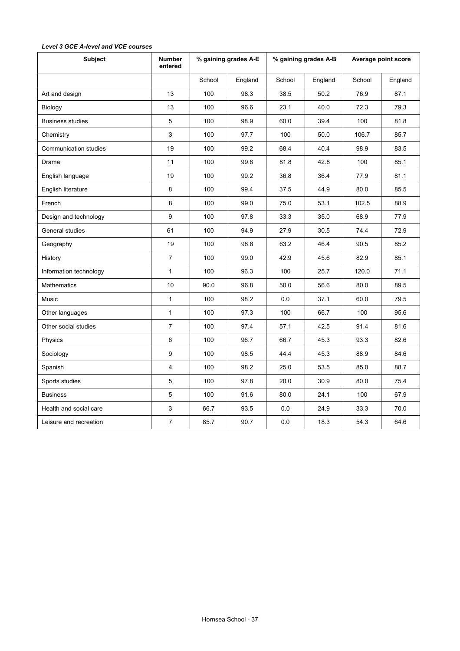| <b>Subject</b>               | <b>Number</b><br>entered | % gaining grades A-E |         | % gaining grades A-B |         | Average point score |         |
|------------------------------|--------------------------|----------------------|---------|----------------------|---------|---------------------|---------|
|                              |                          | School               | England | School               | England | School              | England |
| Art and design               | 13                       | 100                  | 98.3    | 38.5                 | 50.2    | 76.9                | 87.1    |
| Biology                      | 13                       | 100                  | 96.6    | 23.1                 | 40.0    | 72.3                | 79.3    |
| <b>Business studies</b>      | 5                        | 100                  | 98.9    | 60.0                 | 39.4    | 100                 | 81.8    |
| Chemistry                    | 3                        | 100                  | 97.7    | 100                  | 50.0    | 106.7               | 85.7    |
| <b>Communication studies</b> | 19                       | 100                  | 99.2    | 68.4                 | 40.4    | 98.9                | 83.5    |
| Drama                        | 11                       | 100                  | 99.6    | 81.8                 | 42.8    | 100                 | 85.1    |
| English language             | 19                       | 100                  | 99.2    | 36.8                 | 36.4    | 77.9                | 81.1    |
| English literature           | 8                        | 100                  | 99.4    | 37.5                 | 44.9    | 80.0                | 85.5    |
| French                       | 8                        | 100                  | 99.0    | 75.0                 | 53.1    | 102.5               | 88.9    |
| Design and technology        | 9                        | 100                  | 97.8    | 33.3                 | 35.0    | 68.9                | 77.9    |
| General studies              | 61                       | 100                  | 94.9    | 27.9                 | 30.5    | 74.4                | 72.9    |
| Geography                    | 19                       | 100                  | 98.8    | 63.2                 | 46.4    | 90.5                | 85.2    |
| History                      | $\overline{7}$           | 100                  | 99.0    | 42.9                 | 45.6    | 82.9                | 85.1    |
| Information technology       | $\mathbf{1}$             | 100                  | 96.3    | 100                  | 25.7    | 120.0               | 71.1    |
| <b>Mathematics</b>           | 10                       | 90.0                 | 96.8    | 50.0                 | 56.6    | 80.0                | 89.5    |
| Music                        | $\mathbf{1}$             | 100                  | 98.2    | 0.0                  | 37.1    | 60.0                | 79.5    |
| Other languages              | $\mathbf{1}$             | 100                  | 97.3    | 100                  | 66.7    | 100                 | 95.6    |
| Other social studies         | $\overline{7}$           | 100                  | 97.4    | 57.1                 | 42.5    | 91.4                | 81.6    |
| Physics                      | 6                        | 100                  | 96.7    | 66.7                 | 45.3    | 93.3                | 82.6    |
| Sociology                    | 9                        | 100                  | 98.5    | 44.4                 | 45.3    | 88.9                | 84.6    |
| Spanish                      | 4                        | 100                  | 98.2    | 25.0                 | 53.5    | 85.0                | 88.7    |
| Sports studies               | 5                        | 100                  | 97.8    | 20.0                 | 30.9    | 80.0                | 75.4    |
| <b>Business</b>              | 5                        | 100                  | 91.6    | 80.0                 | 24.1    | 100                 | 67.9    |
| Health and social care       | 3                        | 66.7                 | 93.5    | 0.0                  | 24.9    | 33.3                | 70.0    |
| Leisure and recreation       | $\overline{7}$           | 85.7                 | 90.7    | 0.0                  | 18.3    | 54.3                | 64.6    |

# *Level 3 GCE A-level and VCE courses*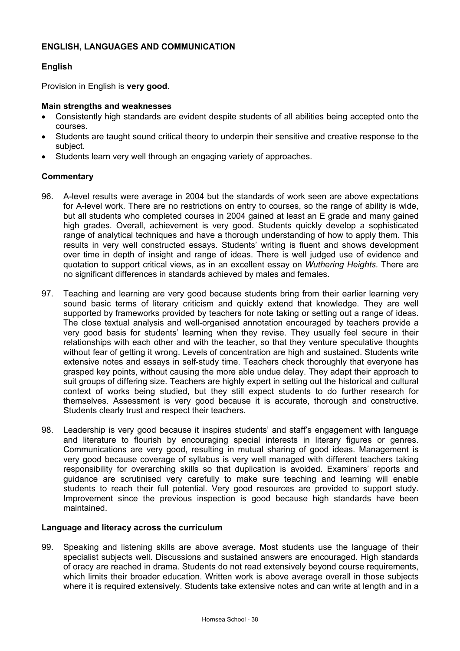# **ENGLISH, LANGUAGES AND COMMUNICATION**

# **English**

Provision in English is **very good**.

#### **Main strengths and weaknesses**

- Consistently high standards are evident despite students of all abilities being accepted onto the courses.
- Students are taught sound critical theory to underpin their sensitive and creative response to the subject.
- Students learn very well through an engaging variety of approaches.

#### **Commentary**

- 96. A-level results were average in 2004 but the standards of work seen are above expectations for A-level work. There are no restrictions on entry to courses, so the range of ability is wide, but all students who completed courses in 2004 gained at least an E grade and many gained high grades. Overall, achievement is very good. Students quickly develop a sophisticated range of analytical techniques and have a thorough understanding of how to apply them. This results in very well constructed essays. Students' writing is fluent and shows development over time in depth of insight and range of ideas. There is well judged use of evidence and quotation to support critical views, as in an excellent essay on *Wuthering Heights.* There are no significant differences in standards achieved by males and females.
- 97. Teaching and learning are very good because students bring from their earlier learning very sound basic terms of literary criticism and quickly extend that knowledge. They are well supported by frameworks provided by teachers for note taking or setting out a range of ideas. The close textual analysis and well-organised annotation encouraged by teachers provide a very good basis for students' learning when they revise. They usually feel secure in their relationships with each other and with the teacher, so that they venture speculative thoughts without fear of getting it wrong. Levels of concentration are high and sustained. Students write extensive notes and essays in self-study time. Teachers check thoroughly that everyone has grasped key points, without causing the more able undue delay. They adapt their approach to suit groups of differing size. Teachers are highly expert in setting out the historical and cultural context of works being studied, but they still expect students to do further research for themselves. Assessment is very good because it is accurate, thorough and constructive. Students clearly trust and respect their teachers.
- 98. Leadership is very good because it inspires students' and staff's engagement with language and literature to flourish by encouraging special interests in literary figures or genres. Communications are very good, resulting in mutual sharing of good ideas. Management is very good because coverage of syllabus is very well managed with different teachers taking responsibility for overarching skills so that duplication is avoided. Examiners' reports and guidance are scrutinised very carefully to make sure teaching and learning will enable students to reach their full potential. Very good resources are provided to support study. Improvement since the previous inspection is good because high standards have been maintained.

#### **Language and literacy across the curriculum**

99. Speaking and listening skills are above average. Most students use the language of their specialist subjects well. Discussions and sustained answers are encouraged. High standards of oracy are reached in drama. Students do not read extensively beyond course requirements, which limits their broader education. Written work is above average overall in those subjects where it is required extensively. Students take extensive notes and can write at length and in a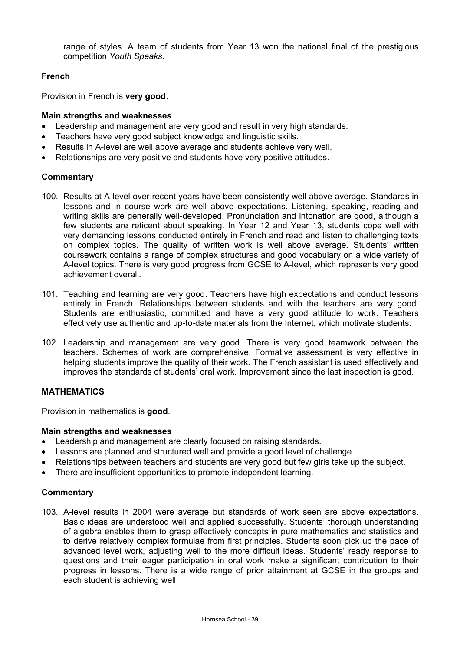range of styles. A team of students from Year 13 won the national final of the prestigious competition *Youth Speaks*.

# **French**

Provision in French is **very good**.

#### **Main strengths and weaknesses**

- Leadership and management are very good and result in very high standards.
- Teachers have very good subject knowledge and linguistic skills.
- Results in A-level are well above average and students achieve very well.
- Relationships are very positive and students have very positive attitudes.

#### **Commentary**

- 100. Results at A-level over recent years have been consistently well above average. Standards in lessons and in course work are well above expectations. Listening, speaking, reading and writing skills are generally well-developed. Pronunciation and intonation are good, although a few students are reticent about speaking. In Year 12 and Year 13, students cope well with very demanding lessons conducted entirely in French and read and listen to challenging texts on complex topics. The quality of written work is well above average. Students' written coursework contains a range of complex structures and good vocabulary on a wide variety of A-level topics. There is very good progress from GCSE to A-level, which represents very good achievement overall.
- 101. Teaching and learning are very good. Teachers have high expectations and conduct lessons entirely in French. Relationships between students and with the teachers are very good. Students are enthusiastic, committed and have a very good attitude to work. Teachers effectively use authentic and up-to-date materials from the Internet, which motivate students.
- 102. Leadership and management are very good. There is very good teamwork between the teachers. Schemes of work are comprehensive. Formative assessment is very effective in helping students improve the quality of their work. The French assistant is used effectively and improves the standards of students' oral work. Improvement since the last inspection is good.

# **MATHEMATICS**

Provision in mathematics is **good**.

#### **Main strengths and weaknesses**

- Leadership and management are clearly focused on raising standards.
- Lessons are planned and structured well and provide a good level of challenge.
- Relationships between teachers and students are very good but few girls take up the subject.
- There are insufficient opportunities to promote independent learning.

#### **Commentary**

103. A-level results in 2004 were average but standards of work seen are above expectations. Basic ideas are understood well and applied successfully. Students' thorough understanding of algebra enables them to grasp effectively concepts in pure mathematics and statistics and to derive relatively complex formulae from first principles. Students soon pick up the pace of advanced level work, adjusting well to the more difficult ideas. Students' ready response to questions and their eager participation in oral work make a significant contribution to their progress in lessons. There is a wide range of prior attainment at GCSE in the groups and each student is achieving well.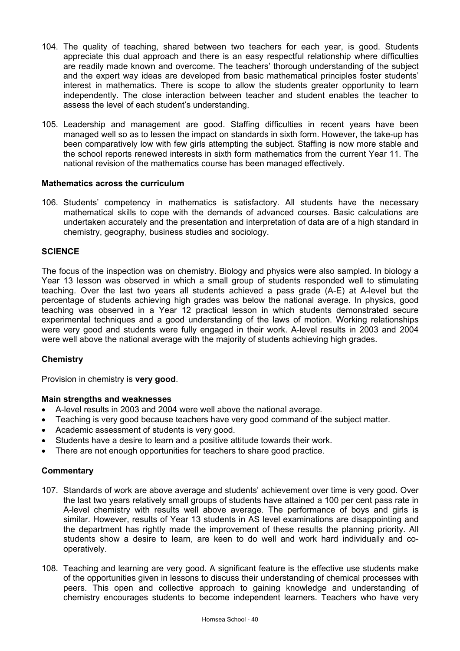- 104. The quality of teaching, shared between two teachers for each year, is good. Students appreciate this dual approach and there is an easy respectful relationship where difficulties are readily made known and overcome. The teachers' thorough understanding of the subject and the expert way ideas are developed from basic mathematical principles foster students' interest in mathematics. There is scope to allow the students greater opportunity to learn independently. The close interaction between teacher and student enables the teacher to assess the level of each student's understanding.
- 105. Leadership and management are good. Staffing difficulties in recent years have been managed well so as to lessen the impact on standards in sixth form. However, the take-up has been comparatively low with few girls attempting the subject. Staffing is now more stable and the school reports renewed interests in sixth form mathematics from the current Year 11. The national revision of the mathematics course has been managed effectively.

#### **Mathematics across the curriculum**

106. Students' competency in mathematics is satisfactory. All students have the necessary mathematical skills to cope with the demands of advanced courses. Basic calculations are undertaken accurately and the presentation and interpretation of data are of a high standard in chemistry, geography, business studies and sociology.

#### **SCIENCE**

The focus of the inspection was on chemistry. Biology and physics were also sampled. In biology a Year 13 lesson was observed in which a small group of students responded well to stimulating teaching. Over the last two years all students achieved a pass grade (A-E) at A-level but the percentage of students achieving high grades was below the national average. In physics, good teaching was observed in a Year 12 practical lesson in which students demonstrated secure experimental techniques and a good understanding of the laws of motion. Working relationships were very good and students were fully engaged in their work. A-level results in 2003 and 2004 were well above the national average with the majority of students achieving high grades.

# **Chemistry**

Provision in chemistry is **very good**.

#### **Main strengths and weaknesses**

- A-level results in 2003 and 2004 were well above the national average.
- Teaching is very good because teachers have very good command of the subject matter.
- Academic assessment of students is very good.
- Students have a desire to learn and a positive attitude towards their work.
- There are not enough opportunities for teachers to share good practice.

- 107. Standards of work are above average and students' achievement over time is very good. Over the last two years relatively small groups of students have attained a 100 per cent pass rate in A-level chemistry with results well above average. The performance of boys and girls is similar. However, results of Year 13 students in AS level examinations are disappointing and the department has rightly made the improvement of these results the planning priority. All students show a desire to learn, are keen to do well and work hard individually and cooperatively.
- 108. Teaching and learning are very good. A significant feature is the effective use students make of the opportunities given in lessons to discuss their understanding of chemical processes with peers. This open and collective approach to gaining knowledge and understanding of chemistry encourages students to become independent learners. Teachers who have very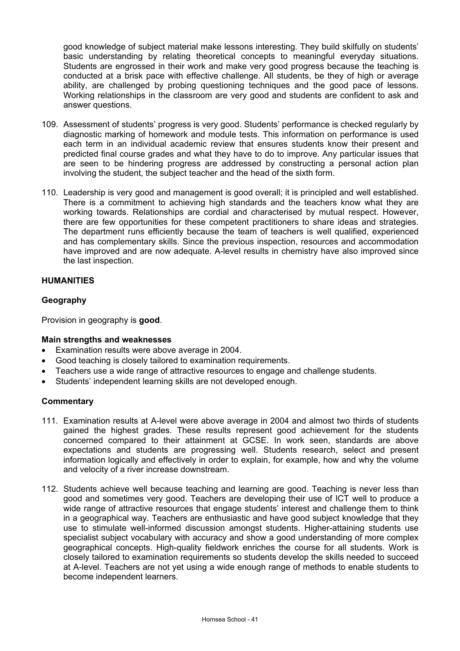good knowledge of subject material make lessons interesting. They build skilfully on students' basic understanding by relating theoretical concepts to meaningful everyday situations. Students are engrossed in their work and make very good progress because the teaching is conducted at a brisk pace with effective challenge. All students, be they of high or average ability, are challenged by probing questioning techniques and the good pace of lessons. Working relationships in the classroom are very good and students are confident to ask and answer questions.

- 109. Assessment of students' progress is very good. Students' performance is checked regularly by diagnostic marking of homework and module tests. This information on performance is used each term in an individual academic review that ensures students know their present and predicted final course grades and what they have to do to improve. Any particular issues that are seen to be hindering progress are addressed by constructing a personal action plan involving the student, the subject teacher and the head of the sixth form.
- 110. Leadership is very good and management is good overall; it is principled and well established. There is a commitment to achieving high standards and the teachers know what they are working towards. Relationships are cordial and characterised by mutual respect. However, there are few opportunities for these competent practitioners to share ideas and strategies. The department runs efficiently because the team of teachers is well qualified, experienced and has complementary skills. Since the previous inspection, resources and accommodation have improved and are now adequate. A-level results in chemistry have also improved since the last inspection.

# **HUMANITIES**

# **Geography**

Provision in geography is **good**.

#### **Main strengths and weaknesses**

- Examination results were above average in 2004.
- Good teaching is closely tailored to examination requirements.
- Teachers use a wide range of attractive resources to engage and challenge students.
- Students' independent learning skills are not developed enough.

- 111. Examination results at A-level were above average in 2004 and almost two thirds of students gained the highest grades. These results represent good achievement for the students concerned compared to their attainment at GCSE. In work seen, standards are above expectations and students are progressing well. Students research, select and present information logically and effectively in order to explain, for example, how and why the volume and velocity of a river increase downstream.
- 112. Students achieve well because teaching and learning are good. Teaching is never less than good and sometimes very good. Teachers are developing their use of ICT well to produce a wide range of attractive resources that engage students' interest and challenge them to think in a geographical way. Teachers are enthusiastic and have good subject knowledge that they use to stimulate well-informed discussion amongst students. Higher-attaining students use specialist subject vocabulary with accuracy and show a good understanding of more complex geographical concepts. High-quality fieldwork enriches the course for all students. Work is closely tailored to examination requirements so students develop the skills needed to succeed at A-level. Teachers are not yet using a wide enough range of methods to enable students to become independent learners.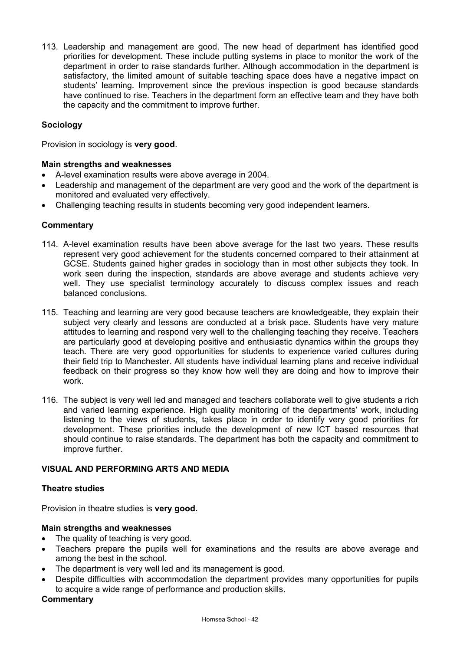113. Leadership and management are good. The new head of department has identified good priorities for development. These include putting systems in place to monitor the work of the department in order to raise standards further. Although accommodation in the department is satisfactory, the limited amount of suitable teaching space does have a negative impact on students' learning. Improvement since the previous inspection is good because standards have continued to rise. Teachers in the department form an effective team and they have both the capacity and the commitment to improve further.

# **Sociology**

Provision in sociology is **very good**.

#### **Main strengths and weaknesses**

- A-level examination results were above average in 2004.
- Leadership and management of the department are very good and the work of the department is monitored and evaluated very effectively.
- Challenging teaching results in students becoming very good independent learners.

#### **Commentary**

- 114. A-level examination results have been above average for the last two years. These results represent very good achievement for the students concerned compared to their attainment at GCSE. Students gained higher grades in sociology than in most other subjects they took. In work seen during the inspection, standards are above average and students achieve very well. They use specialist terminology accurately to discuss complex issues and reach balanced conclusions.
- 115. Teaching and learning are very good because teachers are knowledgeable, they explain their subject very clearly and lessons are conducted at a brisk pace. Students have very mature attitudes to learning and respond very well to the challenging teaching they receive. Teachers are particularly good at developing positive and enthusiastic dynamics within the groups they teach. There are very good opportunities for students to experience varied cultures during their field trip to Manchester. All students have individual learning plans and receive individual feedback on their progress so they know how well they are doing and how to improve their work.
- 116. The subject is very well led and managed and teachers collaborate well to give students a rich and varied learning experience. High quality monitoring of the departments' work, including listening to the views of students, takes place in order to identify very good priorities for development. These priorities include the development of new ICT based resources that should continue to raise standards. The department has both the capacity and commitment to improve further.

# **VISUAL AND PERFORMING ARTS AND MEDIA**

#### **Theatre studies**

Provision in theatre studies is **very good.**

#### **Main strengths and weaknesses**

- The quality of teaching is very good.
- Teachers prepare the pupils well for examinations and the results are above average and among the best in the school.
- The department is very well led and its management is good.
- Despite difficulties with accommodation the department provides many opportunities for pupils to acquire a wide range of performance and production skills.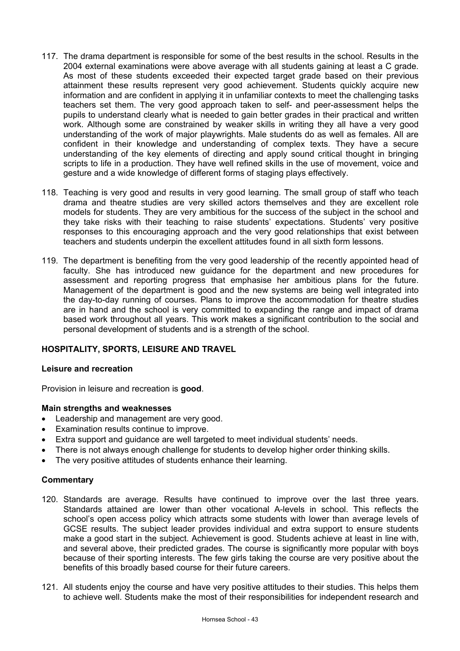- 117. The drama department is responsible for some of the best results in the school. Results in the 2004 external examinations were above average with all students gaining at least a C grade. As most of these students exceeded their expected target grade based on their previous attainment these results represent very good achievement. Students quickly acquire new information and are confident in applying it in unfamiliar contexts to meet the challenging tasks teachers set them. The very good approach taken to self- and peer-assessment helps the pupils to understand clearly what is needed to gain better grades in their practical and written work. Although some are constrained by weaker skills in writing they all have a very good understanding of the work of major playwrights. Male students do as well as females. All are confident in their knowledge and understanding of complex texts. They have a secure understanding of the key elements of directing and apply sound critical thought in bringing scripts to life in a production. They have well refined skills in the use of movement, voice and gesture and a wide knowledge of different forms of staging plays effectively.
- 118. Teaching is very good and results in very good learning. The small group of staff who teach drama and theatre studies are very skilled actors themselves and they are excellent role models for students. They are very ambitious for the success of the subject in the school and they take risks with their teaching to raise students' expectations. Students' very positive responses to this encouraging approach and the very good relationships that exist between teachers and students underpin the excellent attitudes found in all sixth form lessons.
- 119. The department is benefiting from the very good leadership of the recently appointed head of faculty. She has introduced new guidance for the department and new procedures for assessment and reporting progress that emphasise her ambitious plans for the future. Management of the department is good and the new systems are being well integrated into the day-to-day running of courses. Plans to improve the accommodation for theatre studies are in hand and the school is very committed to expanding the range and impact of drama based work throughout all years. This work makes a significant contribution to the social and personal development of students and is a strength of the school.

# **HOSPITALITY, SPORTS, LEISURE AND TRAVEL**

#### **Leisure and recreation**

Provision in leisure and recreation is **good**.

# **Main strengths and weaknesses**

- Leadership and management are very good.
- Examination results continue to improve.
- Extra support and guidance are well targeted to meet individual students' needs.
- There is not always enough challenge for students to develop higher order thinking skills.
- The very positive attitudes of students enhance their learning.

- 120. Standards are average. Results have continued to improve over the last three years. Standards attained are lower than other vocational A-levels in school. This reflects the school's open access policy which attracts some students with lower than average levels of GCSE results. The subject leader provides individual and extra support to ensure students make a good start in the subject. Achievement is good. Students achieve at least in line with, and several above, their predicted grades. The course is significantly more popular with boys because of their sporting interests. The few girls taking the course are very positive about the benefits of this broadly based course for their future careers.
- 121. All students enjoy the course and have very positive attitudes to their studies. This helps them to achieve well. Students make the most of their responsibilities for independent research and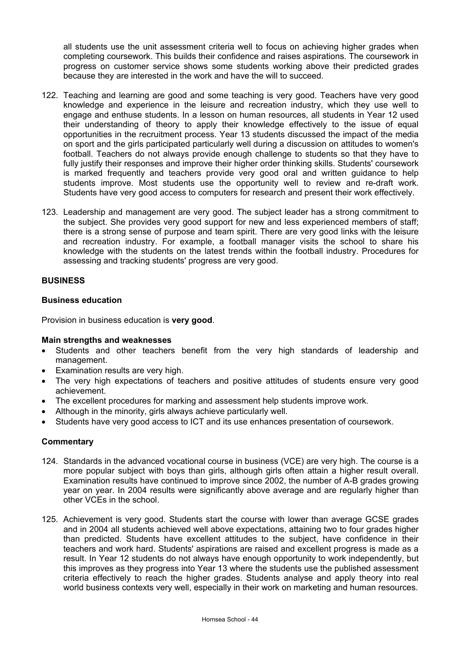all students use the unit assessment criteria well to focus on achieving higher grades when completing coursework. This builds their confidence and raises aspirations. The coursework in progress on customer service shows some students working above their predicted grades because they are interested in the work and have the will to succeed.

- 122. Teaching and learning are good and some teaching is very good. Teachers have very good knowledge and experience in the leisure and recreation industry, which they use well to engage and enthuse students. In a lesson on human resources, all students in Year 12 used their understanding of theory to apply their knowledge effectively to the issue of equal opportunities in the recruitment process. Year 13 students discussed the impact of the media on sport and the girls participated particularly well during a discussion on attitudes to women's football. Teachers do not always provide enough challenge to students so that they have to fully justify their responses and improve their higher order thinking skills. Students' coursework is marked frequently and teachers provide very good oral and written guidance to help students improve. Most students use the opportunity well to review and re-draft work. Students have very good access to computers for research and present their work effectively.
- 123. Leadership and management are very good. The subject leader has a strong commitment to the subject. She provides very good support for new and less experienced members of staff; there is a strong sense of purpose and team spirit. There are very good links with the leisure and recreation industry. For example, a football manager visits the school to share his knowledge with the students on the latest trends within the football industry. Procedures for assessing and tracking students' progress are very good.

# **BUSINESS**

# **Business education**

Provision in business education is **very good**.

#### **Main strengths and weaknesses**

- Students and other teachers benefit from the very high standards of leadership and management.
- **Examination results are very high.**
- The very high expectations of teachers and positive attitudes of students ensure very good achievement.
- The excellent procedures for marking and assessment help students improve work.
- Although in the minority, girls always achieve particularly well.
- Students have very good access to ICT and its use enhances presentation of coursework.

- 124. Standards in the advanced vocational course in business (VCE) are very high. The course is a more popular subject with boys than girls, although girls often attain a higher result overall. Examination results have continued to improve since 2002, the number of A-B grades growing year on year. In 2004 results were significantly above average and are regularly higher than other VCEs in the school.
- 125. Achievement is very good. Students start the course with lower than average GCSE grades and in 2004 all students achieved well above expectations, attaining two to four grades higher than predicted. Students have excellent attitudes to the subject, have confidence in their teachers and work hard. Students' aspirations are raised and excellent progress is made as a result. In Year 12 students do not always have enough opportunity to work independently, but this improves as they progress into Year 13 where the students use the published assessment criteria effectively to reach the higher grades. Students analyse and apply theory into real world business contexts very well, especially in their work on marketing and human resources.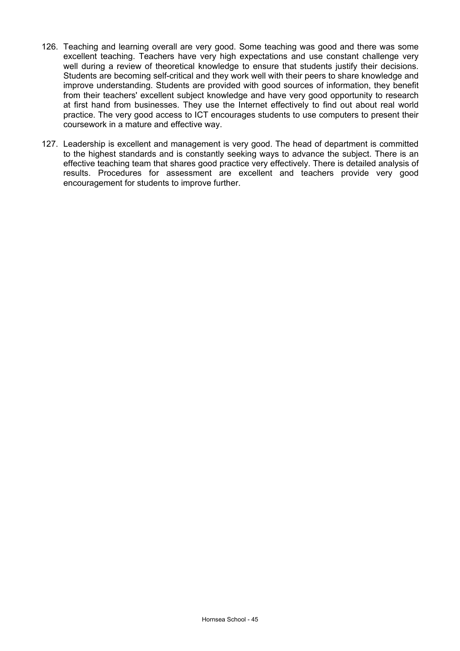- 126. Teaching and learning overall are very good. Some teaching was good and there was some excellent teaching. Teachers have very high expectations and use constant challenge very well during a review of theoretical knowledge to ensure that students justify their decisions. Students are becoming self-critical and they work well with their peers to share knowledge and improve understanding. Students are provided with good sources of information, they benefit from their teachers' excellent subject knowledge and have very good opportunity to research at first hand from businesses. They use the Internet effectively to find out about real world practice. The very good access to ICT encourages students to use computers to present their coursework in a mature and effective way.
- 127. Leadership is excellent and management is very good. The head of department is committed to the highest standards and is constantly seeking ways to advance the subject. There is an effective teaching team that shares good practice very effectively. There is detailed analysis of results. Procedures for assessment are excellent and teachers provide very good encouragement for students to improve further.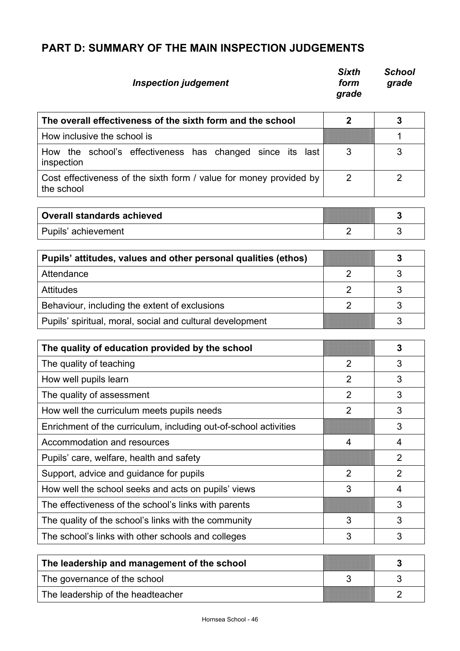# **PART D: SUMMARY OF THE MAIN INSPECTION JUDGEMENTS**

| <b>Inspection judgement</b>                                                      | <b>Sixth</b><br>form<br>grade | <b>School</b><br>grade |
|----------------------------------------------------------------------------------|-------------------------------|------------------------|
| The overall effectiveness of the sixth form and the school                       | $\mathbf 2$                   | 3                      |
| How inclusive the school is                                                      |                               | 1                      |
| How the school's effectiveness has changed since its last<br>inspection          | 3                             | 3                      |
| Cost effectiveness of the sixth form / value for money provided by<br>the school | $\overline{2}$                | $\overline{2}$         |
| <b>Overall standards achieved</b>                                                |                               | 3                      |
| Pupils' achievement                                                              | $\overline{2}$                | 3                      |
| Pupils' attitudes, values and other personal qualities (ethos)                   |                               | 3                      |
| Attendance                                                                       | 2                             | 3                      |
| <b>Attitudes</b>                                                                 | $\overline{2}$                | 3                      |
| Behaviour, including the extent of exclusions                                    | $\overline{2}$                | 3                      |
| Pupils' spiritual, moral, social and cultural development                        |                               | 3                      |
| The quality of education provided by the school                                  |                               | 3                      |
| The quality of teaching                                                          | $\overline{2}$                | 3                      |
| How well pupils learn                                                            | $\overline{2}$                | 3                      |
| The quality of assessment                                                        | $\overline{2}$                | 3                      |
| How well the curriculum meets pupils needs                                       | $\overline{2}$                | 3                      |
| Enrichment of the curriculum, including out-of-school activities                 |                               | 3                      |
| Accommodation and resources                                                      | 4                             | 4                      |
| Pupils' care, welfare, health and safety                                         |                               | $\overline{2}$         |
| Support, advice and guidance for pupils                                          | $\overline{2}$                | $\overline{2}$         |
| How well the school seeks and acts on pupils' views                              | 3                             | 4                      |
| The effectiveness of the school's links with parents                             |                               | 3                      |
| The quality of the school's links with the community                             | 3                             | 3                      |
| The school's links with other schools and colleges                               | 3                             | 3                      |
| The leadership and management of the school                                      |                               | 3                      |
| The governance of the school                                                     | 3                             | 3                      |
| The leadership of the headteacher                                                |                               | $\overline{2}$         |